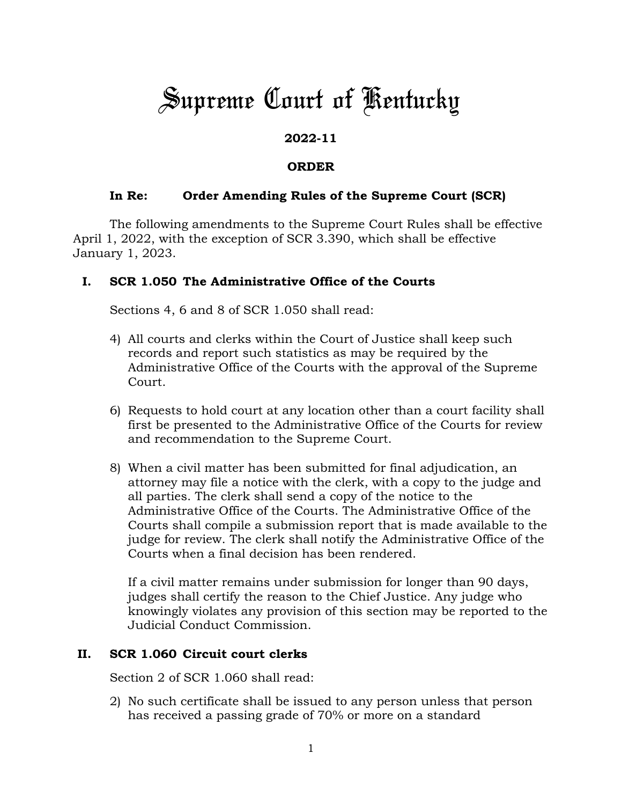# *Supreme Court of Kentucky*

# **2022-11**

## **ORDER**

# **In Re: Order Amending Rules of the Supreme Court (SCR)**

The following amendments to the Supreme Court Rules shall be effective April 1, 2022, with the exception of SCR 3.390, which shall be effective January 1, 2023.

# **I. SCR 1.050 The Administrative Office of the Courts**

Sections 4, 6 and 8 of SCR 1.050 shall read:

- 4) All courts and clerks within the Court of Justice shall keep such records and report such statistics as may be required by the Administrative Office of the Courts with the approval of the Supreme Court.
- 6) Requests to hold court at any location other than a court facility shall first be presented to the Administrative Office of the Courts for review and recommendation to the Supreme Court.
- 8) When a civil matter has been submitted for final adjudication, an attorney may file a notice with the clerk, with a copy to the judge and all parties. The clerk shall send a copy of the notice to the Administrative Office of the Courts. The Administrative Office of the Courts shall compile a submission report that is made available to the judge for review. The clerk shall notify the Administrative Office of the Courts when a final decision has been rendered.

If a civil matter remains under submission for longer than 90 days, judges shall certify the reason to the Chief Justice. Any judge who knowingly violates any provision of this section may be reported to the Judicial Conduct Commission.

### **II. SCR 1.060 Circuit court clerks**

Section 2 of SCR 1.060 shall read:

2) No such certificate shall be issued to any person unless that person has received a passing grade of 70% or more on a standard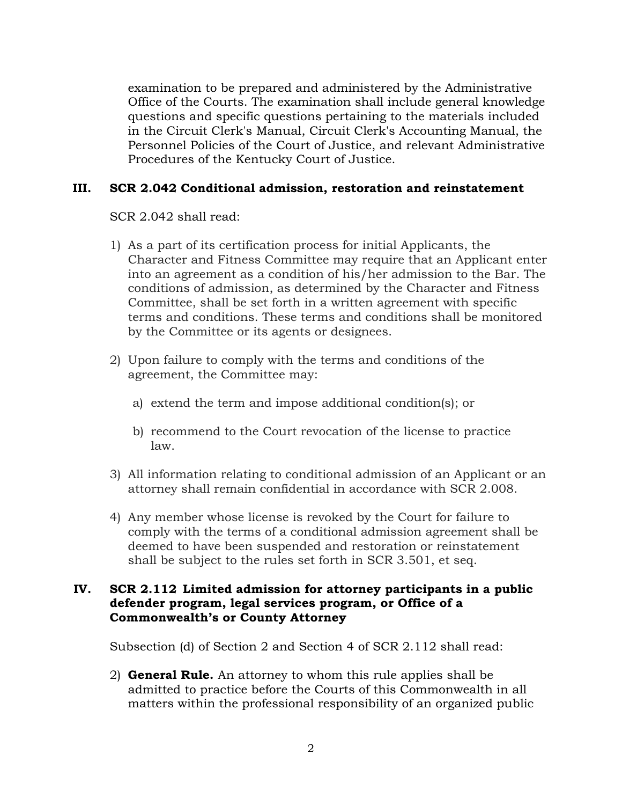examination to be prepared and administered by the Administrative Office of the Courts. The examination shall include general knowledge questions and specific questions pertaining to the materials included in the Circuit Clerk's Manual, Circuit Clerk's Accounting Manual, the Personnel Policies of the Court of Justice, and relevant Administrative Procedures of the Kentucky Court of Justice.

# **III. SCR 2.042 Conditional admission, restoration and reinstatement**

SCR 2.042 shall read:

- 1) As a part of its certification process for initial Applicants, the Character and Fitness Committee may require that an Applicant enter into an agreement as a condition of his/her admission to the Bar. The conditions of admission, as determined by the Character and Fitness Committee, shall be set forth in a written agreement with specific terms and conditions. These terms and conditions shall be monitored by the Committee or its agents or designees.
- 2) Upon failure to comply with the terms and conditions of the agreement, the Committee may:
	- a) extend the term and impose additional condition(s); or
	- b) recommend to the Court revocation of the license to practice law.
- 3) All information relating to conditional admission of an Applicant or an attorney shall remain confidential in accordance with SCR 2.008.
- 4) Any member whose license is revoked by the Court for failure to comply with the terms of a conditional admission agreement shall be deemed to have been suspended and restoration or reinstatement shall be subject to the rules set forth in SCR 3.501, et seq.

# **IV. SCR 2.112 Limited admission for attorney participants in a public defender program, legal services program, or Office of a Commonwealth's or County Attorney**

Subsection (d) of Section 2 and Section 4 of SCR 2.112 shall read:

2) **General Rule.** An attorney to whom this rule applies shall be admitted to practice before the Courts of this Commonwealth in all matters within the professional responsibility of an organized public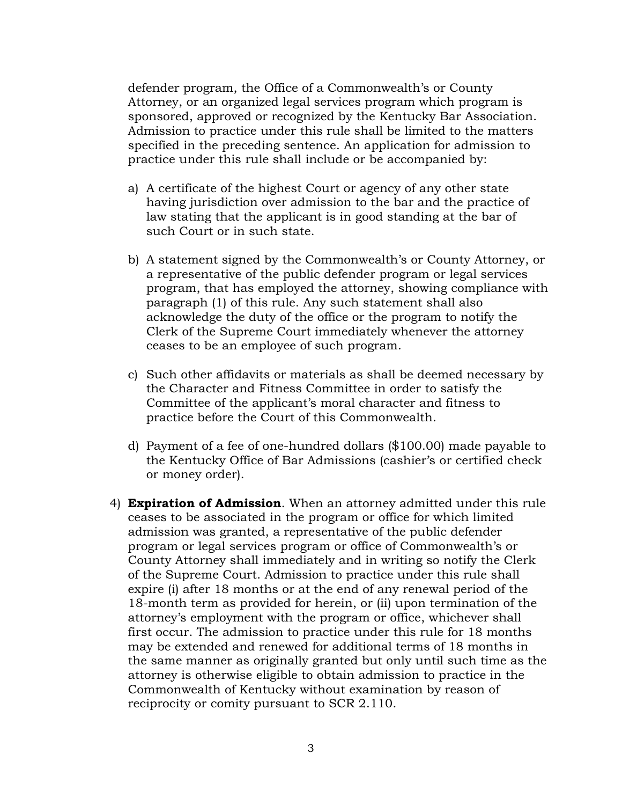defender program, the Office of a Commonwealth's or County Attorney, or an organized legal services program which program is sponsored, approved or recognized by the Kentucky Bar Association. Admission to practice under this rule shall be limited to the matters specified in the preceding sentence. An application for admission to practice under this rule shall include or be accompanied by:

- a) A certificate of the highest Court or agency of any other state having jurisdiction over admission to the bar and the practice of law stating that the applicant is in good standing at the bar of such Court or in such state.
- b) A statement signed by the Commonwealth's or County Attorney, or a representative of the public defender program or legal services program, that has employed the attorney, showing compliance with paragraph (1) of this rule. Any such statement shall also acknowledge the duty of the office or the program to notify the Clerk of the Supreme Court immediately whenever the attorney ceases to be an employee of such program.
- c) Such other affidavits or materials as shall be deemed necessary by the Character and Fitness Committee in order to satisfy the Committee of the applicant's moral character and fitness to practice before the Court of this Commonwealth.
- d) Payment of a fee of one-hundred dollars (\$100.00) made payable to the Kentucky Office of Bar Admissions (cashier's or certified check or money order).
- 4) **Expiration of Admission**. When an attorney admitted under this rule ceases to be associated in the program or office for which limited admission was granted, a representative of the public defender program or legal services program or office of Commonwealth's or County Attorney shall immediately and in writing so notify the Clerk of the Supreme Court. Admission to practice under this rule shall expire (i) after 18 months or at the end of any renewal period of the 18-month term as provided for herein, or (ii) upon termination of the attorney's employment with the program or office, whichever shall first occur. The admission to practice under this rule for 18 months may be extended and renewed for additional terms of 18 months in the same manner as originally granted but only until such time as the attorney is otherwise eligible to obtain admission to practice in the Commonwealth of Kentucky without examination by reason of reciprocity or comity pursuant to SCR 2.110.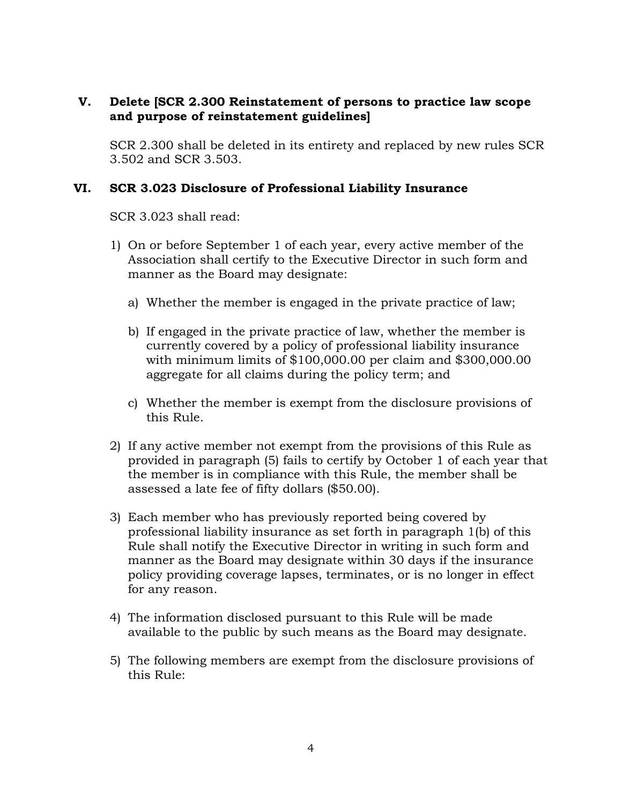# **V. Delete [SCR 2.300 Reinstatement of persons to practice law scope and purpose of reinstatement guidelines]**

SCR 2.300 shall be deleted in its entirety and replaced by new rules SCR 3.502 and SCR 3.503.

# **VI. SCR 3.023 Disclosure of Professional Liability Insurance**

SCR 3.023 shall read:

- 1) On or before September 1 of each year, every active member of the Association shall certify to the Executive Director in such form and manner as the Board may designate:
	- a) Whether the member is engaged in the private practice of law;
	- b) If engaged in the private practice of law, whether the member is currently covered by a policy of professional liability insurance with minimum limits of \$100,000.00 per claim and \$300,000.00 aggregate for all claims during the policy term; and
	- c) Whether the member is exempt from the disclosure provisions of this Rule.
- 2) If any active member not exempt from the provisions of this Rule as provided in paragraph (5) fails to certify by October 1 of each year that the member is in compliance with this Rule, the member shall be assessed a late fee of fifty dollars (\$50.00).
- 3) Each member who has previously reported being covered by professional liability insurance as set forth in paragraph 1(b) of this Rule shall notify the Executive Director in writing in such form and manner as the Board may designate within 30 days if the insurance policy providing coverage lapses, terminates, or is no longer in effect for any reason.
- 4) The information disclosed pursuant to this Rule will be made available to the public by such means as the Board may designate.
- 5) The following members are exempt from the disclosure provisions of this Rule: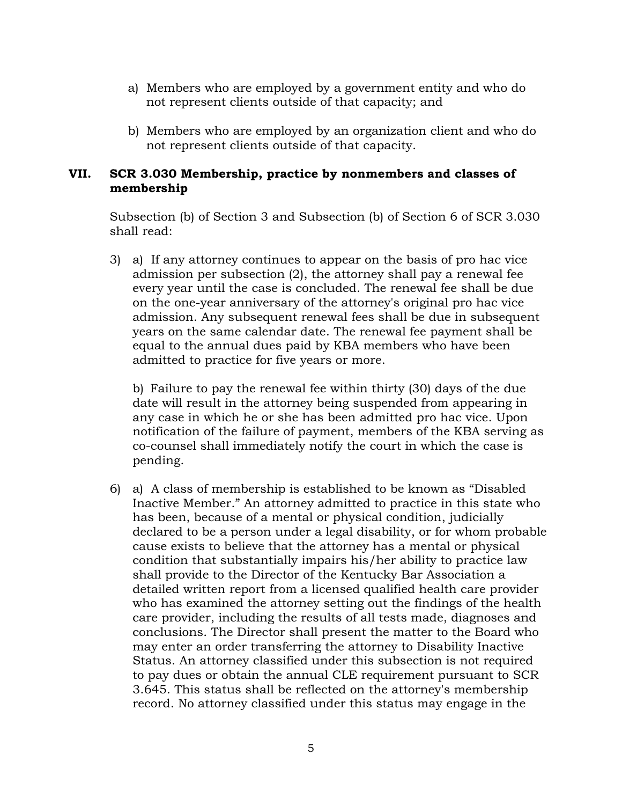- a) Members who are employed by a government entity and who do not represent clients outside of that capacity; and
- b) Members who are employed by an organization client and who do not represent clients outside of that capacity.

### **VII. SCR 3.030 Membership, practice by nonmembers and classes of membership**

Subsection (b) of Section 3 and Subsection (b) of Section 6 of SCR 3.030 shall read:

3) a) If any attorney continues to appear on the basis of pro hac vice admission per subsection (2), the attorney shall pay a renewal fee every year until the case is concluded. The renewal fee shall be due on the one-year anniversary of the attorney's original pro hac vice admission. Any subsequent renewal fees shall be due in subsequent years on the same calendar date. The renewal fee payment shall be equal to the annual dues paid by KBA members who have been admitted to practice for five years or more.

b) Failure to pay the renewal fee within thirty (30) days of the due date will result in the attorney being suspended from appearing in any case in which he or she has been admitted pro hac vice. Upon notification of the failure of payment, members of the KBA serving as co-counsel shall immediately notify the court in which the case is pending.

6) a) A class of membership is established to be known as "Disabled Inactive Member." An attorney admitted to practice in this state who has been, because of a mental or physical condition, judicially declared to be a person under a legal disability, or for whom probable cause exists to believe that the attorney has a mental or physical condition that substantially impairs his/her ability to practice law shall provide to the Director of the Kentucky Bar Association a detailed written report from a licensed qualified health care provider who has examined the attorney setting out the findings of the health care provider, including the results of all tests made, diagnoses and conclusions. The Director shall present the matter to the Board who may enter an order transferring the attorney to Disability Inactive Status. An attorney classified under this subsection is not required to pay dues or obtain the annual CLE requirement pursuant to SCR 3.645. This status shall be reflected on the attorney's membership record. No attorney classified under this status may engage in the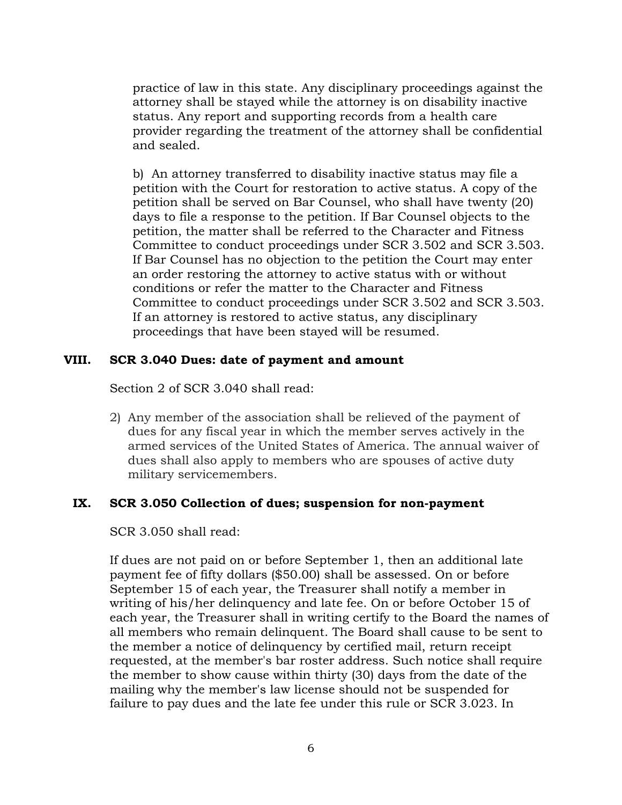practice of law in this state. Any disciplinary proceedings against the attorney shall be stayed while the attorney is on disability inactive status. Any report and supporting records from a health care provider regarding the treatment of the attorney shall be confidential and sealed.

b) An attorney transferred to disability inactive status may file a petition with the Court for restoration to active status. A copy of the petition shall be served on Bar Counsel, who shall have twenty (20) days to file a response to the petition. If Bar Counsel objects to the petition, the matter shall be referred to the Character and Fitness Committee to conduct proceedings under SCR 3.502 and SCR 3.503. If Bar Counsel has no objection to the petition the Court may enter an order restoring the attorney to active status with or without conditions or refer the matter to the Character and Fitness Committee to conduct proceedings under SCR 3.502 and SCR 3.503. If an attorney is restored to active status, any disciplinary proceedings that have been stayed will be resumed.

### **VIII. SCR 3.040 Dues: date of payment and amount**

Section 2 of SCR 3.040 shall read:

2) Any member of the association shall be relieved of the payment of dues for any fiscal year in which the member serves actively in the armed services of the United States of America. The annual waiver of dues shall also apply to members who are spouses of active duty military servicemembers.

### **IX. SCR 3.050 Collection of dues; suspension for non-payment**

SCR 3.050 shall read:

If dues are not paid on or before September 1, then an additional late payment fee of fifty dollars (\$50.00) shall be assessed. On or before September 15 of each year, the Treasurer shall notify a member in writing of his/her delinquency and late fee. On or before October 15 of each year, the Treasurer shall in writing certify to the Board the names of all members who remain delinquent. The Board shall cause to be sent to the member a notice of delinquency by certified mail, return receipt requested, at the member's bar roster address. Such notice shall require the member to show cause within thirty (30) days from the date of the mailing why the member's law license should not be suspended for failure to pay dues and the late fee under this rule or SCR 3.023. In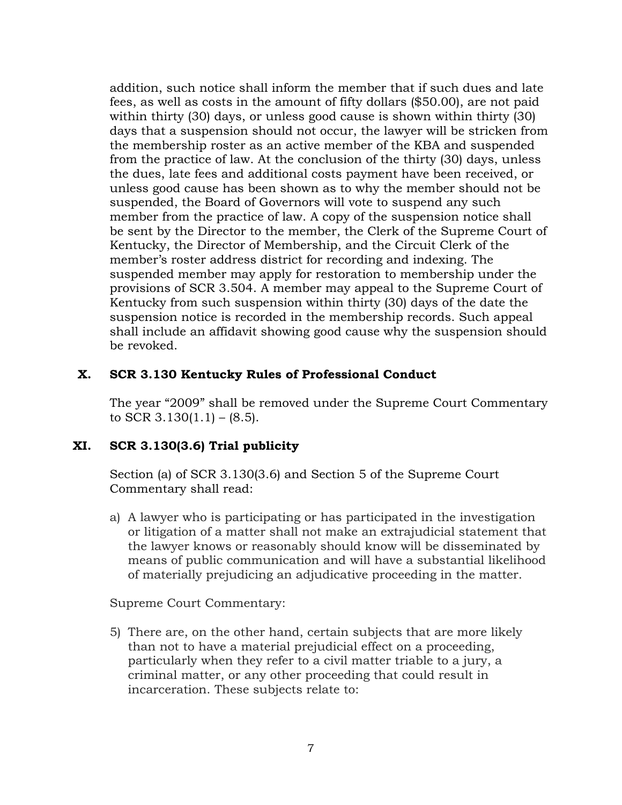addition, such notice shall inform the member that if such dues and late fees, as well as costs in the amount of fifty dollars (\$50.00), are not paid within thirty (30) days, or unless good cause is shown within thirty (30) days that a suspension should not occur, the lawyer will be stricken from the membership roster as an active member of the KBA and suspended from the practice of law. At the conclusion of the thirty (30) days, unless the dues, late fees and additional costs payment have been received, or unless good cause has been shown as to why the member should not be suspended, the Board of Governors will vote to suspend any such member from the practice of law. A copy of the suspension notice shall be sent by the Director to the member, the Clerk of the Supreme Court of Kentucky, the Director of Membership, and the Circuit Clerk of the member's roster address district for recording and indexing. The suspended member may apply for restoration to membership under the provisions of SCR 3.504. A member may appeal to the Supreme Court of Kentucky from such suspension within thirty (30) days of the date the suspension notice is recorded in the membership records. Such appeal shall include an affidavit showing good cause why the suspension should be revoked.

### **X. SCR 3.130 Kentucky Rules of Professional Conduct**

The year "2009" shall be removed under the Supreme Court Commentary to SCR  $3.130(1.1) - (8.5)$ .

# **XI. SCR 3.130(3.6) Trial publicity**

Section (a) of SCR 3.130(3.6) and Section 5 of the Supreme Court Commentary shall read:

a) A lawyer who is participating or has participated in the investigation or litigation of a matter shall not make an extrajudicial statement that the lawyer knows or reasonably should know will be disseminated by means of public communication and will have a substantial likelihood of materially prejudicing an adjudicative proceeding in the matter.

Supreme Court Commentary:

5) There are, on the other hand, certain subjects that are more likely than not to have a material prejudicial effect on a proceeding, particularly when they refer to a civil matter triable to a jury, a criminal matter, or any other proceeding that could result in incarceration. These subjects relate to: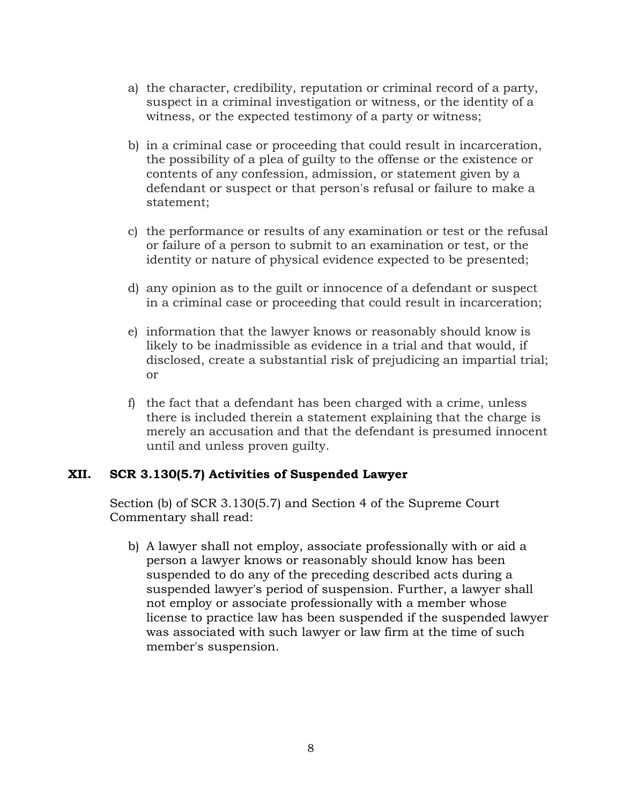- a) the character, credibility, reputation or criminal record of a party, suspect in a criminal investigation or witness, or the identity of a witness, or the expected testimony of a party or witness;
- b) in a criminal case or proceeding that could result in incarceration, the possibility of a plea of guilty to the offense or the existence or contents of any confession, admission, or statement given by a defendant or suspect or that person's refusal or failure to make a statement;
- c) the performance or results of any examination or test or the refusal or failure of a person to submit to an examination or test, or the identity or nature of physical evidence expected to be presented;
- d) any opinion as to the guilt or innocence of a defendant or suspect in a criminal case or proceeding that could result in incarceration;
- e) information that the lawyer knows or reasonably should know is likely to be inadmissible as evidence in a trial and that would, if disclosed, create a substantial risk of prejudicing an impartial trial; or
- f) the fact that a defendant has been charged with a crime, unless there is included therein a statement explaining that the charge is merely an accusation and that the defendant is presumed innocent until and unless proven guilty.

### **XII. SCR 3.130(5.7) Activities of Suspended Lawyer**

Section (b) of SCR 3.130(5.7) and Section 4 of the Supreme Court Commentary shall read:

b) A lawyer shall not employ, associate professionally with or aid a person a lawyer knows or reasonably should know has been suspended to do any of the preceding described acts during a suspended lawyer's period of suspension. Further, a lawyer shall not employ or associate professionally with a member whose license to practice law has been suspended if the suspended lawyer was associated with such lawyer or law firm at the time of such member's suspension.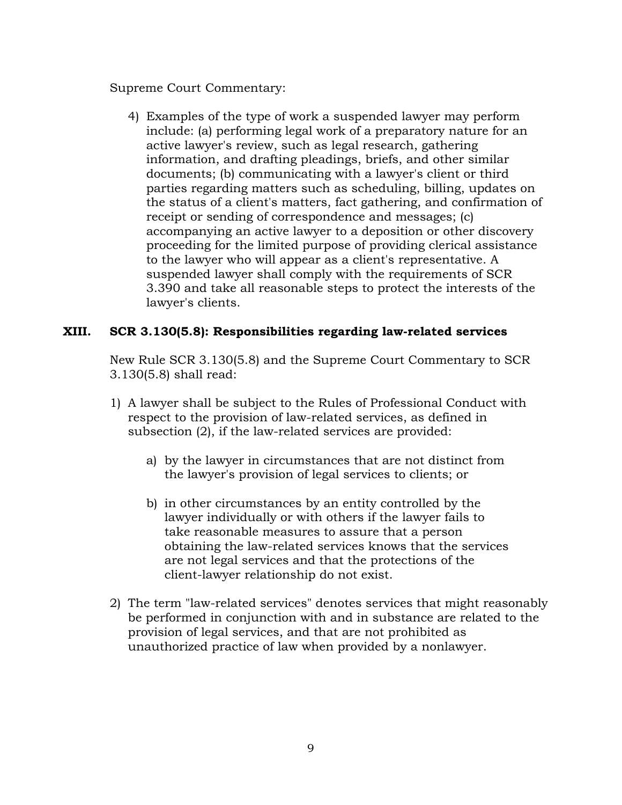#### Supreme Court Commentary:

4) Examples of the type of work a suspended lawyer may perform include: (a) performing legal work of a preparatory nature for an active lawyer's review, such as legal research, gathering information, and drafting pleadings, briefs, and other similar documents; (b) communicating with a lawyer's client or third parties regarding matters such as scheduling, billing, updates on the status of a client's matters, fact gathering, and confirmation of receipt or sending of correspondence and messages; (c) accompanying an active lawyer to a deposition or other discovery proceeding for the limited purpose of providing clerical assistance to the lawyer who will appear as a client's representative. A suspended lawyer shall comply with the requirements of SCR 3.390 and take all reasonable steps to protect the interests of the lawyer's clients.

#### **XIII. SCR 3.130(5.8): Responsibilities regarding law-related services**

New Rule SCR 3.130(5.8) and the Supreme Court Commentary to SCR 3.130(5.8) shall read:

- 1) A lawyer shall be subject to the Rules of Professional Conduct with respect to the provision of law-related services, as defined in subsection (2), if the law-related services are provided:
	- a) by the lawyer in circumstances that are not distinct from the lawyer's provision of legal services to clients; or
	- b) in other circumstances by an entity controlled by the lawyer individually or with others if the lawyer fails to take reasonable measures to assure that a person obtaining the law-related services knows that the services are not legal services and that the protections of the client-lawyer relationship do not exist.
- 2) The term "law-related services" denotes services that might reasonably be performed in conjunction with and in substance are related to the provision of legal services, and that are not prohibited as unauthorized practice of law when provided by a nonlawyer.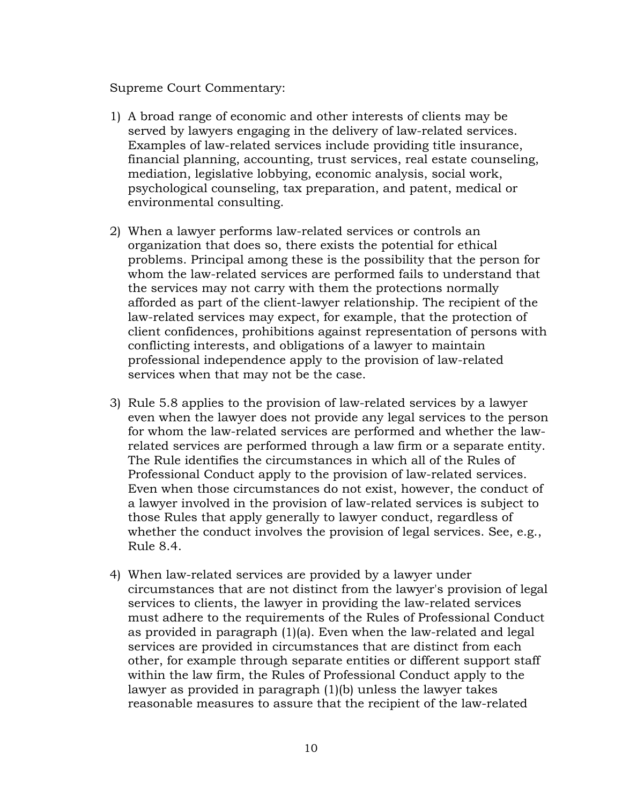#### Supreme Court Commentary:

- 1) A broad range of economic and other interests of clients may be served by lawyers engaging in the delivery of law-related services. Examples of law-related services include providing title insurance, financial planning, accounting, trust services, real estate counseling, mediation, legislative lobbying, economic analysis, social work, psychological counseling, tax preparation, and patent, medical or environmental consulting.
- 2) When a lawyer performs law-related services or controls an organization that does so, there exists the potential for ethical problems. Principal among these is the possibility that the person for whom the law-related services are performed fails to understand that the services may not carry with them the protections normally afforded as part of the client-lawyer relationship. The recipient of the law-related services may expect, for example, that the protection of client confidences, prohibitions against representation of persons with conflicting interests, and obligations of a lawyer to maintain professional independence apply to the provision of law-related services when that may not be the case.
- 3) Rule 5.8 applies to the provision of law-related services by a lawyer even when the lawyer does not provide any legal services to the person for whom the law-related services are performed and whether the lawrelated services are performed through a law firm or a separate entity. The Rule identifies the circumstances in which all of the Rules of Professional Conduct apply to the provision of law-related services. Even when those circumstances do not exist, however, the conduct of a lawyer involved in the provision of law-related services is subject to those Rules that apply generally to lawyer conduct, regardless of whether the conduct involves the provision of legal services. See, e.g., Rule 8.4.
- 4) When law-related services are provided by a lawyer under circumstances that are not distinct from the lawyer's provision of legal services to clients, the lawyer in providing the law-related services must adhere to the requirements of the Rules of Professional Conduct as provided in paragraph (1)(a). Even when the law-related and legal services are provided in circumstances that are distinct from each other, for example through separate entities or different support staff within the law firm, the Rules of Professional Conduct apply to the lawyer as provided in paragraph (1)(b) unless the lawyer takes reasonable measures to assure that the recipient of the law-related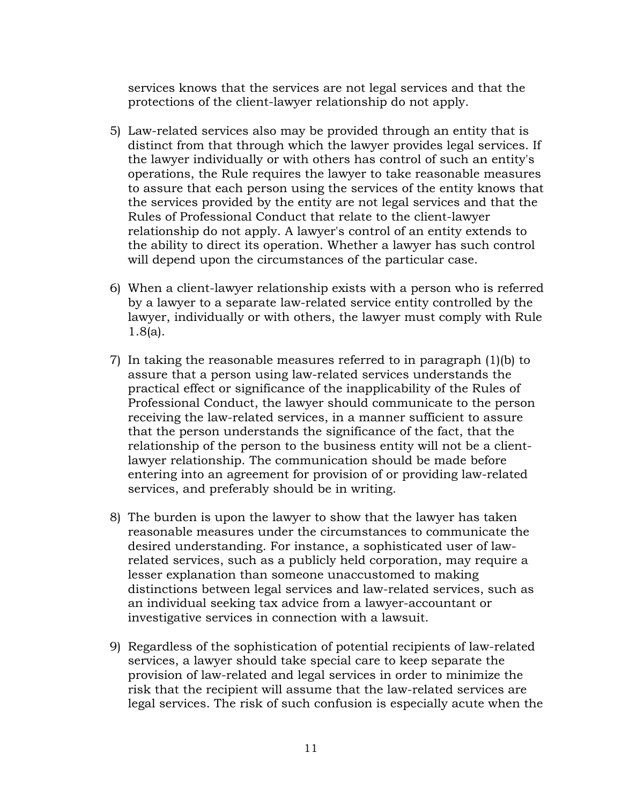services knows that the services are not legal services and that the protections of the client-lawyer relationship do not apply.

- 5) Law-related services also may be provided through an entity that is distinct from that through which the lawyer provides legal services. If the lawyer individually or with others has control of such an entity's operations, the Rule requires the lawyer to take reasonable measures to assure that each person using the services of the entity knows that the services provided by the entity are not legal services and that the Rules of Professional Conduct that relate to the client-lawyer relationship do not apply. A lawyer's control of an entity extends to the ability to direct its operation. Whether a lawyer has such control will depend upon the circumstances of the particular case.
- 6) When a client-lawyer relationship exists with a person who is referred by a lawyer to a separate law-related service entity controlled by the lawyer, individually or with others, the lawyer must comply with Rule 1.8(a).
- 7) In taking the reasonable measures referred to in paragraph (1)(b) to assure that a person using law-related services understands the practical effect or significance of the inapplicability of the Rules of Professional Conduct, the lawyer should communicate to the person receiving the law-related services, in a manner sufficient to assure that the person understands the significance of the fact, that the relationship of the person to the business entity will not be a clientlawyer relationship. The communication should be made before entering into an agreement for provision of or providing law-related services, and preferably should be in writing.
- 8) The burden is upon the lawyer to show that the lawyer has taken reasonable measures under the circumstances to communicate the desired understanding. For instance, a sophisticated user of lawrelated services, such as a publicly held corporation, may require a lesser explanation than someone unaccustomed to making distinctions between legal services and law-related services, such as an individual seeking tax advice from a lawyer-accountant or investigative services in connection with a lawsuit.
- 9) Regardless of the sophistication of potential recipients of law-related services, a lawyer should take special care to keep separate the provision of law-related and legal services in order to minimize the risk that the recipient will assume that the law-related services are legal services. The risk of such confusion is especially acute when the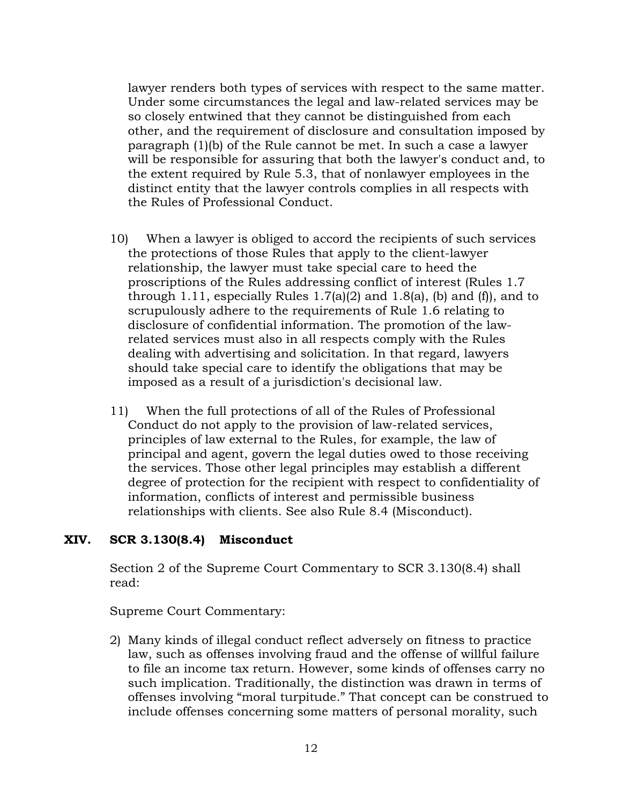lawyer renders both types of services with respect to the same matter. Under some circumstances the legal and law-related services may be so closely entwined that they cannot be distinguished from each other, and the requirement of disclosure and consultation imposed by paragraph (1)(b) of the Rule cannot be met. In such a case a lawyer will be responsible for assuring that both the lawyer's conduct and, to the extent required by Rule 5.3, that of nonlawyer employees in the distinct entity that the lawyer controls complies in all respects with the Rules of Professional Conduct.

- 10) When a lawyer is obliged to accord the recipients of such services the protections of those Rules that apply to the client-lawyer relationship, the lawyer must take special care to heed the proscriptions of the Rules addressing conflict of interest (Rules 1.7 through 1.11, especially Rules  $1.7(a)(2)$  and  $1.8(a)$ , (b) and (f)), and to scrupulously adhere to the requirements of Rule 1.6 relating to disclosure of confidential information. The promotion of the lawrelated services must also in all respects comply with the Rules dealing with advertising and solicitation. In that regard, lawyers should take special care to identify the obligations that may be imposed as a result of a jurisdiction's decisional law.
- 11) When the full protections of all of the Rules of Professional Conduct do not apply to the provision of law-related services, principles of law external to the Rules, for example, the law of principal and agent, govern the legal duties owed to those receiving the services. Those other legal principles may establish a different degree of protection for the recipient with respect to confidentiality of information, conflicts of interest and permissible business relationships with clients. See also Rule 8.4 (Misconduct).

### **XIV. SCR 3.130(8.4) Misconduct**

Section 2 of the Supreme Court Commentary to SCR 3.130(8.4) shall read:

Supreme Court Commentary:

2) Many kinds of illegal conduct reflect adversely on fitness to practice law, such as offenses involving fraud and the offense of willful failure to file an income tax return. However, some kinds of offenses carry no such implication. Traditionally, the distinction was drawn in terms of offenses involving "moral turpitude." That concept can be construed to include offenses concerning some matters of personal morality, such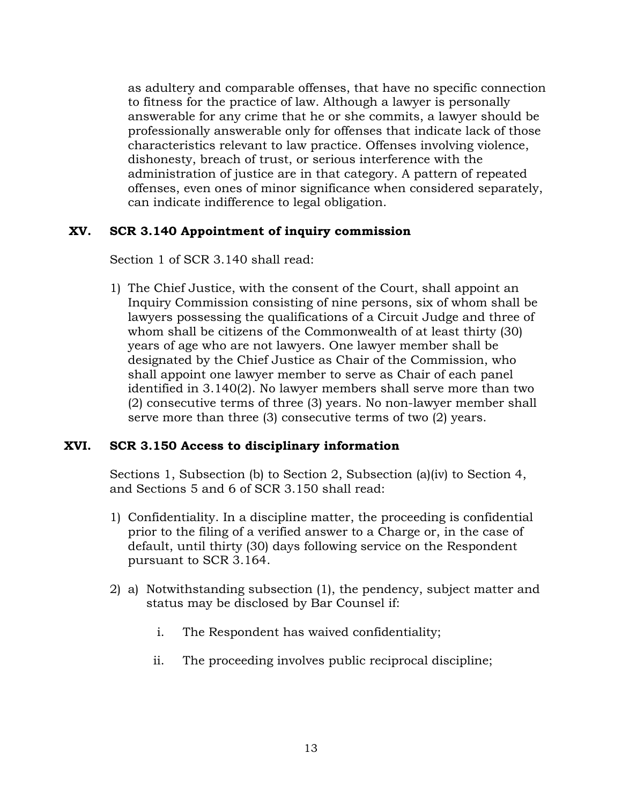as adultery and comparable offenses, that have no specific connection to fitness for the practice of law. Although a lawyer is personally answerable for any crime that he or she commits, a lawyer should be professionally answerable only for offenses that indicate lack of those characteristics relevant to law practice. Offenses involving violence, dishonesty, breach of trust, or serious interference with the administration of justice are in that category. A pattern of repeated offenses, even ones of minor significance when considered separately, can indicate indifference to legal obligation.

### **XV. SCR 3.140 Appointment of inquiry commission**

Section 1 of SCR 3.140 shall read:

1) The Chief Justice, with the consent of the Court, shall appoint an Inquiry Commission consisting of nine persons, six of whom shall be lawyers possessing the qualifications of a Circuit Judge and three of whom shall be citizens of the Commonwealth of at least thirty (30) years of age who are not lawyers. One lawyer member shall be designated by the Chief Justice as Chair of the Commission, who shall appoint one lawyer member to serve as Chair of each panel identified in 3.140(2). No lawyer members shall serve more than two (2) consecutive terms of three (3) years. No non-lawyer member shall serve more than three (3) consecutive terms of two (2) years.

### **XVI. SCR 3.150 Access to disciplinary information**

Sections 1, Subsection (b) to Section 2, Subsection (a)(iv) to Section 4, and Sections 5 and 6 of SCR 3.150 shall read:

- 1) Confidentiality. In a discipline matter, the proceeding is confidential prior to the filing of a verified answer to a Charge or, in the case of default, until thirty (30) days following service on the Respondent pursuant to SCR 3.164.
- 2) a) Notwithstanding subsection (1), the pendency, subject matter and status may be disclosed by Bar Counsel if:
	- i. The Respondent has waived confidentiality;
	- ii. The proceeding involves public reciprocal discipline;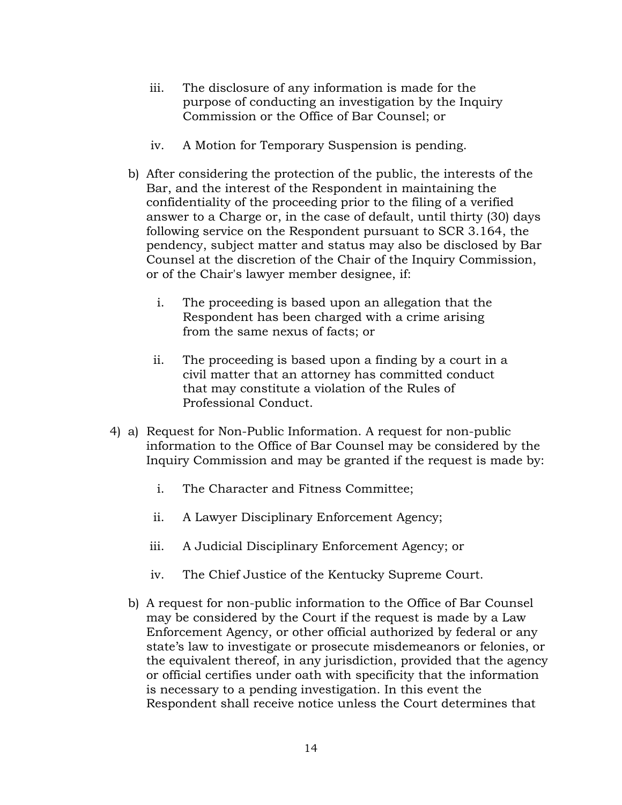- iii. The disclosure of any information is made for the purpose of conducting an investigation by the Inquiry Commission or the Office of Bar Counsel; or
- iv. A Motion for Temporary Suspension is pending.
- b) After considering the protection of the public, the interests of the Bar, and the interest of the Respondent in maintaining the confidentiality of the proceeding prior to the filing of a verified answer to a Charge or, in the case of default, until thirty (30) days following service on the Respondent pursuant to SCR 3.164, the pendency, subject matter and status may also be disclosed by Bar Counsel at the discretion of the Chair of the Inquiry Commission, or of the Chair's lawyer member designee, if:
	- i. The proceeding is based upon an allegation that the Respondent has been charged with a crime arising from the same nexus of facts; or
	- ii. The proceeding is based upon a finding by a court in a civil matter that an attorney has committed conduct that may constitute a violation of the Rules of Professional Conduct.
- 4) a) Request for Non-Public Information. A request for non-public information to the Office of Bar Counsel may be considered by the Inquiry Commission and may be granted if the request is made by:
	- i. The Character and Fitness Committee;
	- ii. A Lawyer Disciplinary Enforcement Agency;
	- iii. A Judicial Disciplinary Enforcement Agency; or
	- iv. The Chief Justice of the Kentucky Supreme Court.
	- b) A request for non-public information to the Office of Bar Counsel may be considered by the Court if the request is made by a Law Enforcement Agency, or other official authorized by federal or any state's law to investigate or prosecute misdemeanors or felonies, or the equivalent thereof, in any jurisdiction, provided that the agency or official certifies under oath with specificity that the information is necessary to a pending investigation. In this event the Respondent shall receive notice unless the Court determines that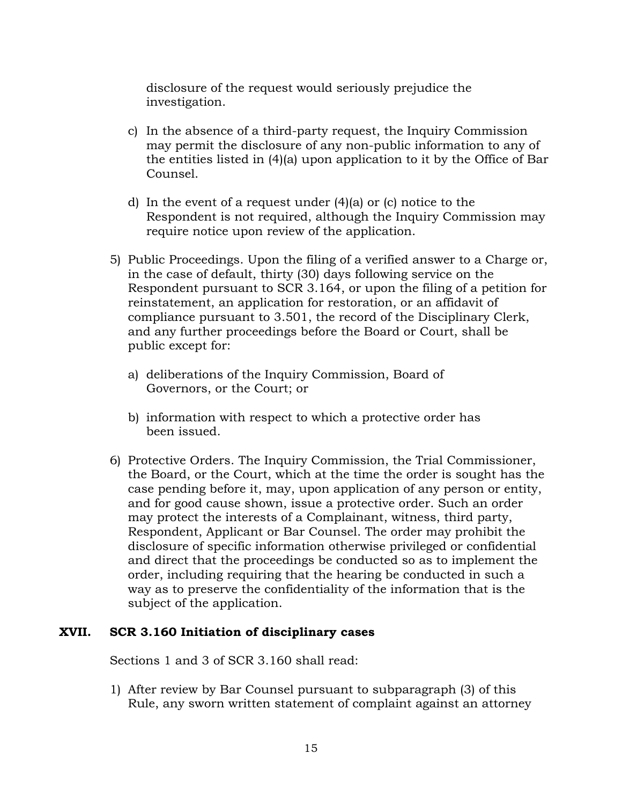disclosure of the request would seriously prejudice the investigation.

- c) In the absence of a third-party request, the Inquiry Commission may permit the disclosure of any non-public information to any of the entities listed in (4)(a) upon application to it by the Office of Bar Counsel.
- d) In the event of a request under (4)(a) or (c) notice to the Respondent is not required, although the Inquiry Commission may require notice upon review of the application.
- 5) Public Proceedings. Upon the filing of a verified answer to a Charge or, in the case of default, thirty (30) days following service on the Respondent pursuant to SCR 3.164, or upon the filing of a petition for reinstatement, an application for restoration, or an affidavit of compliance pursuant to 3.501, the record of the Disciplinary Clerk, and any further proceedings before the Board or Court, shall be public except for:
	- a) deliberations of the Inquiry Commission, Board of Governors, or the Court; or
	- b) information with respect to which a protective order has been issued.
- 6) Protective Orders. The Inquiry Commission, the Trial Commissioner, the Board, or the Court, which at the time the order is sought has the case pending before it, may, upon application of any person or entity, and for good cause shown, issue a protective order. Such an order may protect the interests of a Complainant, witness, third party, Respondent, Applicant or Bar Counsel. The order may prohibit the disclosure of specific information otherwise privileged or confidential and direct that the proceedings be conducted so as to implement the order, including requiring that the hearing be conducted in such a way as to preserve the confidentiality of the information that is the subject of the application.

#### **XVII. SCR 3.160 Initiation of disciplinary cases**

Sections 1 and 3 of SCR 3.160 shall read:

1) After review by Bar Counsel pursuant to subparagraph (3) of this Rule, any sworn written statement of complaint against an attorney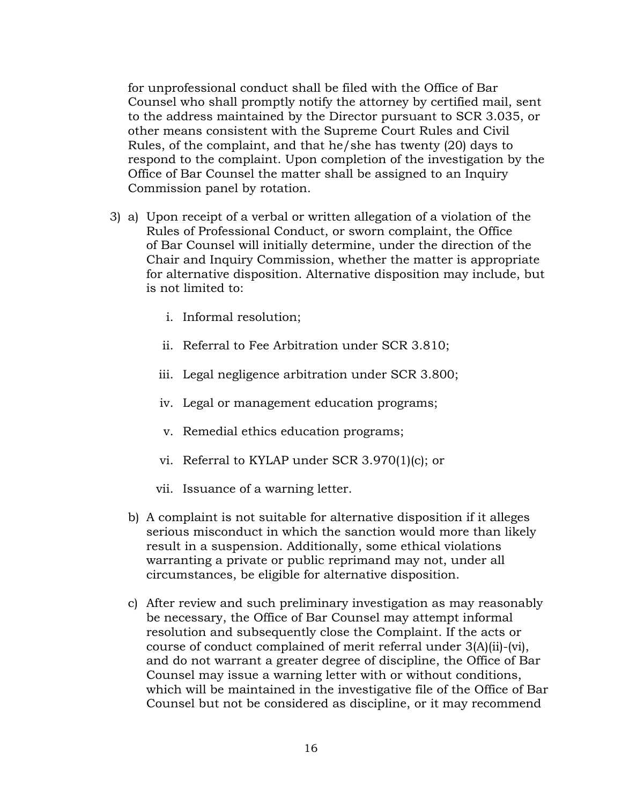for unprofessional conduct shall be filed with the Office of Bar Counsel who shall promptly notify the attorney by certified mail, sent to the address maintained by the Director pursuant to SCR 3.035, or other means consistent with the Supreme Court Rules and Civil Rules, of the complaint, and that he/she has twenty (20) days to respond to the complaint. Upon completion of the investigation by the Office of Bar Counsel the matter shall be assigned to an Inquiry Commission panel by rotation.

- 3) a) Upon receipt of a verbal or written allegation of a violation of the Rules of Professional Conduct, or sworn complaint, the Office of Bar Counsel will initially determine, under the direction of the Chair and Inquiry Commission, whether the matter is appropriate for alternative disposition. Alternative disposition may include, but is not limited to:
	- i. Informal resolution;
	- ii. Referral to Fee Arbitration under SCR 3.810;
	- iii. Legal negligence arbitration under SCR 3.800;
	- iv. Legal or management education programs;
	- v. Remedial ethics education programs;
	- vi. Referral to KYLAP under SCR 3.970(1)(c); or
	- vii. Issuance of a warning letter.
	- b) A complaint is not suitable for alternative disposition if it alleges serious misconduct in which the sanction would more than likely result in a suspension. Additionally, some ethical violations warranting a private or public reprimand may not, under all circumstances, be eligible for alternative disposition.
	- c) After review and such preliminary investigation as may reasonably be necessary, the Office of Bar Counsel may attempt informal resolution and subsequently close the Complaint. If the acts or course of conduct complained of merit referral under 3(A)(ii)-(vi), and do not warrant a greater degree of discipline, the Office of Bar Counsel may issue a warning letter with or without conditions, which will be maintained in the investigative file of the Office of Bar Counsel but not be considered as discipline, or it may recommend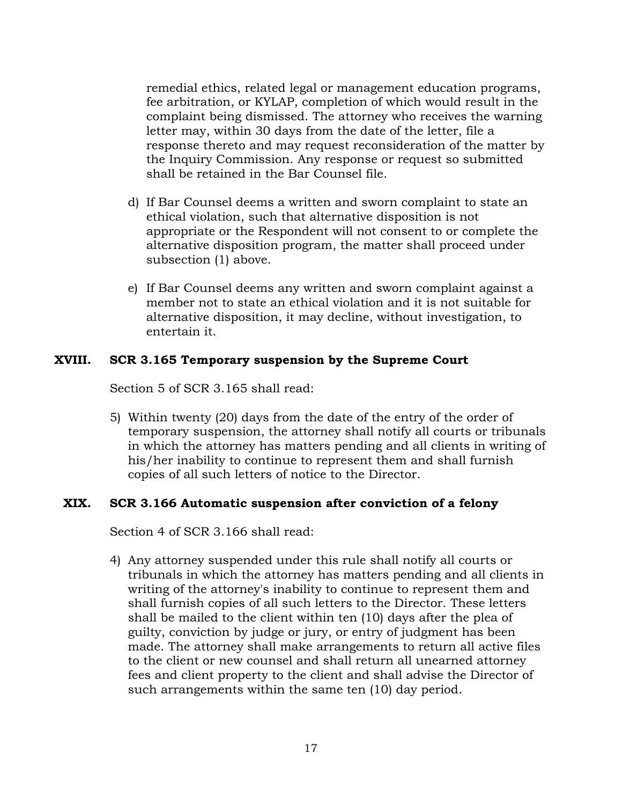remedial ethics, related legal or management education programs, fee arbitration, or KYLAP, completion of which would result in the complaint being dismissed. The attorney who receives the warning letter may, within 30 days from the date of the letter, file a response thereto and may request reconsideration of the matter by the Inquiry Commission. Any response or request so submitted shall be retained in the Bar Counsel file.

- d) If Bar Counsel deems a written and sworn complaint to state an ethical violation, such that alternative disposition is not appropriate or the Respondent will not consent to or complete the alternative disposition program, the matter shall proceed under subsection (1) above.
- e) If Bar Counsel deems any written and sworn complaint against a member not to state an ethical violation and it is not suitable for alternative disposition, it may decline, without investigation, to entertain it.

### **XVIII. SCR 3.165 Temporary suspension by the Supreme Court**

Section 5 of SCR 3.165 shall read:

5) Within twenty (20) days from the date of the entry of the order of temporary suspension, the attorney shall notify all courts or tribunals in which the attorney has matters pending and all clients in writing of his/her inability to continue to represent them and shall furnish copies of all such letters of notice to the Director.

### **XIX. SCR 3.166 Automatic suspension after conviction of a felony**

Section 4 of SCR 3.166 shall read:

4) Any attorney suspended under this rule shall notify all courts or tribunals in which the attorney has matters pending and all clients in writing of the attorney's inability to continue to represent them and shall furnish copies of all such letters to the Director. These letters shall be mailed to the client within ten (10) days after the plea of guilty, conviction by judge or jury, or entry of judgment has been made. The attorney shall make arrangements to return all active files to the client or new counsel and shall return all unearned attorney fees and client property to the client and shall advise the Director of such arrangements within the same ten (10) day period.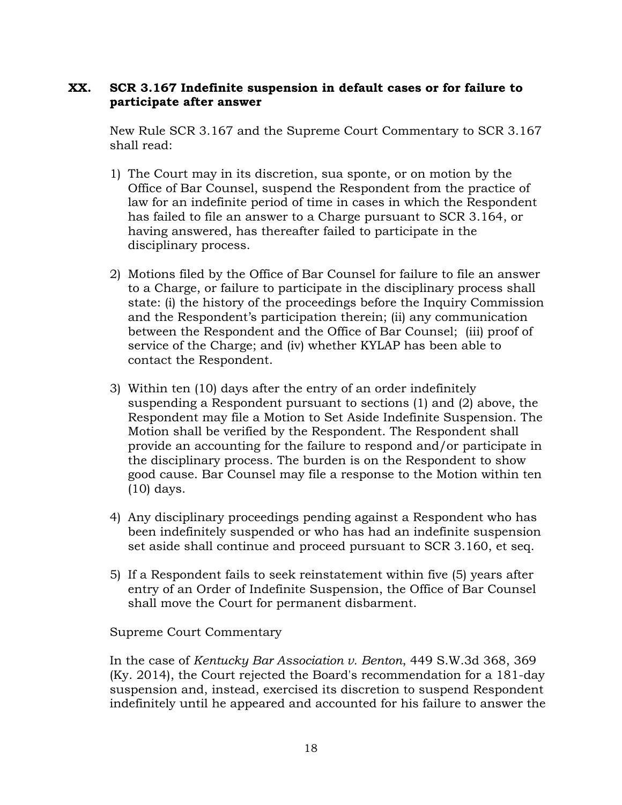### **XX. SCR 3.167 Indefinite suspension in default cases or for failure to participate after answer**

New Rule SCR 3.167 and the Supreme Court Commentary to SCR 3.167 shall read:

- 1) The Court may in its discretion, sua sponte, or on motion by the Office of Bar Counsel, suspend the Respondent from the practice of law for an indefinite period of time in cases in which the Respondent has failed to file an answer to a Charge pursuant to SCR 3.164, or having answered, has thereafter failed to participate in the disciplinary process.
- 2) Motions filed by the Office of Bar Counsel for failure to file an answer to a Charge, or failure to participate in the disciplinary process shall state: (i) the history of the proceedings before the Inquiry Commission and the Respondent's participation therein; (ii) any communication between the Respondent and the Office of Bar Counsel; (iii) proof of service of the Charge; and (iv) whether KYLAP has been able to contact the Respondent.
- 3) Within ten (10) days after the entry of an order indefinitely suspending a Respondent pursuant to sections (1) and (2) above, the Respondent may file a Motion to Set Aside Indefinite Suspension. The Motion shall be verified by the Respondent. The Respondent shall provide an accounting for the failure to respond and/or participate in the disciplinary process. The burden is on the Respondent to show good cause. Bar Counsel may file a response to the Motion within ten (10) days.
- 4) Any disciplinary proceedings pending against a Respondent who has been indefinitely suspended or who has had an indefinite suspension set aside shall continue and proceed pursuant to SCR 3.160, et seq.
- 5) If a Respondent fails to seek reinstatement within five (5) years after entry of an Order of Indefinite Suspension, the Office of Bar Counsel shall move the Court for permanent disbarment.

Supreme Court Commentary

In the case of *Kentucky Bar Association v. Benton*, 449 S.W.3d 368, 369 (Ky. 2014), the Court rejected the Board's recommendation for a 181-day suspension and, instead, exercised its discretion to suspend Respondent indefinitely until he appeared and accounted for his failure to answer the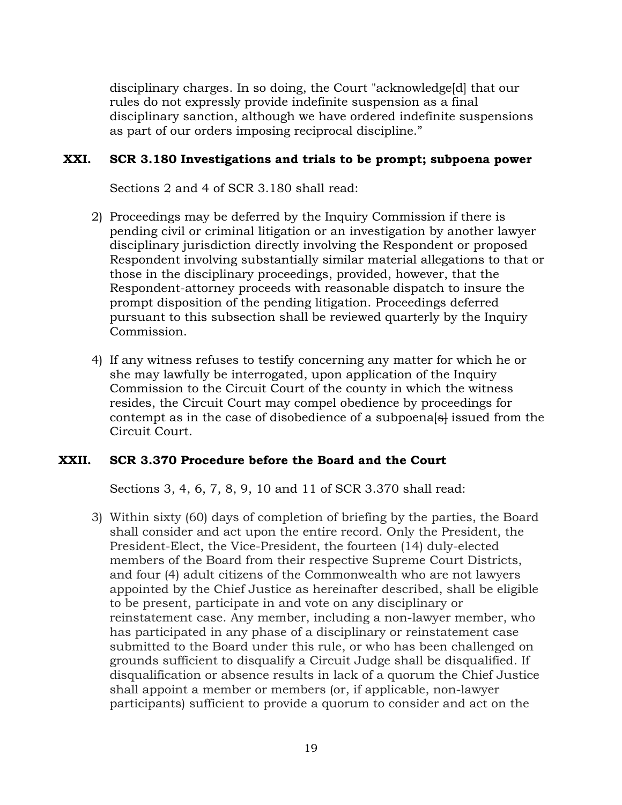disciplinary charges. In so doing, the Court "acknowledge[d] that our rules do not expressly provide indefinite suspension as a final disciplinary sanction, although we have ordered indefinite suspensions as part of our orders imposing reciprocal discipline."

### **XXI. SCR 3.180 Investigations and trials to be prompt; subpoena power**

Sections 2 and 4 of SCR 3.180 shall read:

- 2) Proceedings may be deferred by the Inquiry Commission if there is pending civil or criminal litigation or an investigation by another lawyer disciplinary jurisdiction directly involving the Respondent or proposed Respondent involving substantially similar material allegations to that or those in the disciplinary proceedings, provided, however, that the Respondent-attorney proceeds with reasonable dispatch to insure the prompt disposition of the pending litigation. Proceedings deferred pursuant to this subsection shall be reviewed quarterly by the Inquiry Commission.
- 4) If any witness refuses to testify concerning any matter for which he or she may lawfully be interrogated, upon application of the Inquiry Commission to the Circuit Court of the county in which the witness resides, the Circuit Court may compel obedience by proceedings for contempt as in the case of disobedience of a subpoena<sup>[s]</sup> issued from the Circuit Court.

### **XXII. SCR 3.370 Procedure before the Board and the Court**

Sections 3, 4, 6, 7, 8, 9, 10 and 11 of SCR 3.370 shall read:

3) Within sixty (60) days of completion of briefing by the parties, the Board shall consider and act upon the entire record. Only the President, the President-Elect, the Vice-President, the fourteen (14) duly-elected members of the Board from their respective Supreme Court Districts, and four (4) adult citizens of the Commonwealth who are not lawyers appointed by the Chief Justice as hereinafter described, shall be eligible to be present, participate in and vote on any disciplinary or reinstatement case. Any member, including a non-lawyer member, who has participated in any phase of a disciplinary or reinstatement case submitted to the Board under this rule, or who has been challenged on grounds sufficient to disqualify a Circuit Judge shall be disqualified. If disqualification or absence results in lack of a quorum the Chief Justice shall appoint a member or members (or, if applicable, non-lawyer participants) sufficient to provide a quorum to consider and act on the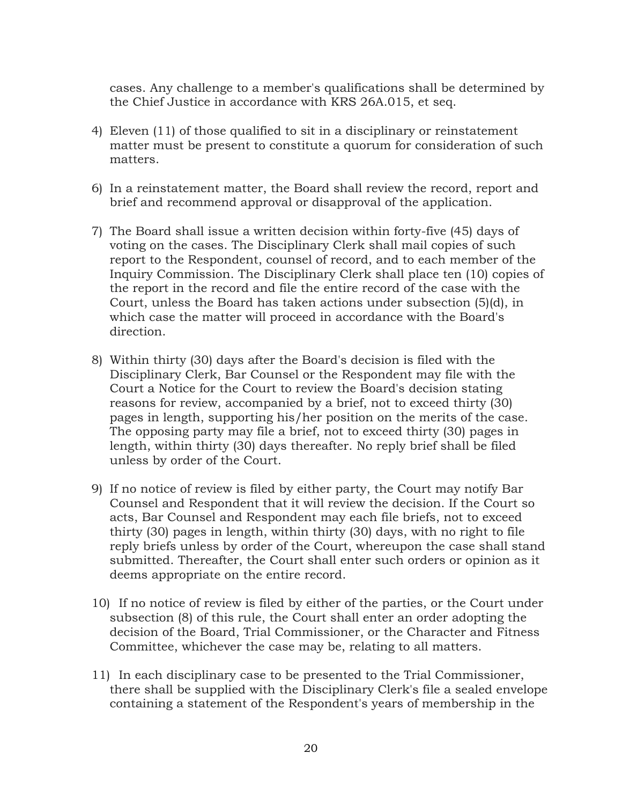cases. Any challenge to a member's qualifications shall be determined by the Chief Justice in accordance with KRS 26A.015, et seq.

- 4) Eleven (11) of those qualified to sit in a disciplinary or reinstatement matter must be present to constitute a quorum for consideration of such matters.
- 6) In a reinstatement matter, the Board shall review the record, report and brief and recommend approval or disapproval of the application.
- 7) The Board shall issue a written decision within forty-five (45) days of voting on the cases. The Disciplinary Clerk shall mail copies of such report to the Respondent, counsel of record, and to each member of the Inquiry Commission. The Disciplinary Clerk shall place ten (10) copies of the report in the record and file the entire record of the case with the Court, unless the Board has taken actions under subsection (5)(d), in which case the matter will proceed in accordance with the Board's direction.
- 8) Within thirty (30) days after the Board's decision is filed with the Disciplinary Clerk, Bar Counsel or the Respondent may file with the Court a Notice for the Court to review the Board's decision stating reasons for review, accompanied by a brief, not to exceed thirty (30) pages in length, supporting his/her position on the merits of the case. The opposing party may file a brief, not to exceed thirty (30) pages in length, within thirty (30) days thereafter. No reply brief shall be filed unless by order of the Court.
- 9) If no notice of review is filed by either party, the Court may notify Bar Counsel and Respondent that it will review the decision. If the Court so acts, Bar Counsel and Respondent may each file briefs, not to exceed thirty (30) pages in length, within thirty (30) days, with no right to file reply briefs unless by order of the Court, whereupon the case shall stand submitted. Thereafter, the Court shall enter such orders or opinion as it deems appropriate on the entire record.
- 10) If no notice of review is filed by either of the parties, or the Court under subsection (8) of this rule, the Court shall enter an order adopting the decision of the Board, Trial Commissioner, or the Character and Fitness Committee, whichever the case may be, relating to all matters.
- 11) In each disciplinary case to be presented to the Trial Commissioner, there shall be supplied with the Disciplinary Clerk's file a sealed envelope containing a statement of the Respondent's years of membership in the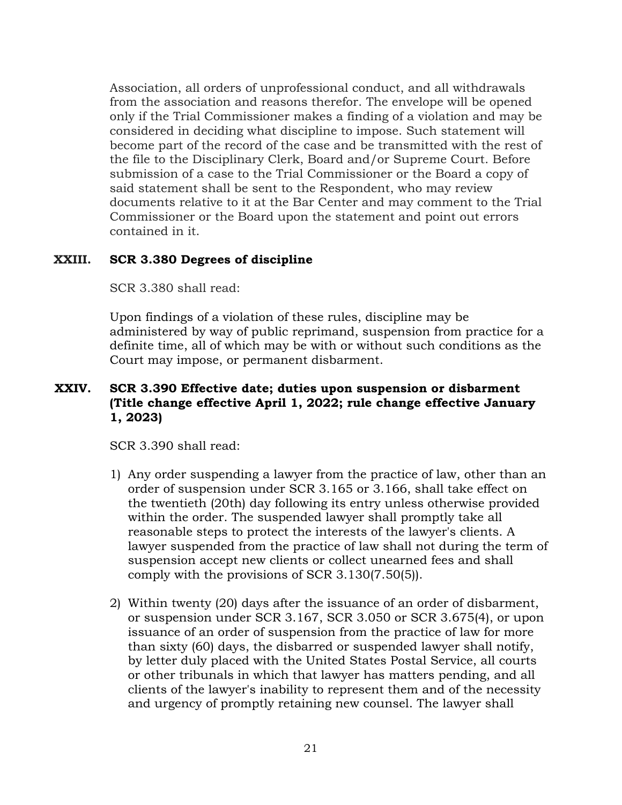Association, all orders of unprofessional conduct, and all withdrawals from the association and reasons therefor. The envelope will be opened only if the Trial Commissioner makes a finding of a violation and may be considered in deciding what discipline to impose. Such statement will become part of the record of the case and be transmitted with the rest of the file to the Disciplinary Clerk, Board and/or Supreme Court. Before submission of a case to the Trial Commissioner or the Board a copy of said statement shall be sent to the Respondent, who may review documents relative to it at the Bar Center and may comment to the Trial Commissioner or the Board upon the statement and point out errors contained in it.

### **XXIII. SCR 3.380 Degrees of discipline**

SCR 3.380 shall read:

Upon findings of a violation of these rules, discipline may be administered by way of public reprimand, suspension from practice for a definite time, all of which may be with or without such conditions as the Court may impose, or permanent disbarment.

# **XXIV. SCR 3.390 Effective date; duties upon suspension or disbarment (Title change effective April 1, 2022; rule change effective January 1, 2023)**

SCR 3.390 shall read:

- 1) Any order suspending a lawyer from the practice of law, other than an order of suspension under SCR 3.165 or 3.166, shall take effect on the twentieth (20th) day following its entry unless otherwise provided within the order. The suspended lawyer shall promptly take all reasonable steps to protect the interests of the lawyer's clients. A lawyer suspended from the practice of law shall not during the term of suspension accept new clients or collect unearned fees and shall comply with the provisions of SCR 3.130(7.50(5)).
- 2) Within twenty (20) days after the issuance of an order of disbarment, or suspension under SCR 3.167, SCR 3.050 or SCR 3.675(4), or upon issuance of an order of suspension from the practice of law for more than sixty (60) days, the disbarred or suspended lawyer shall notify, by letter duly placed with the United States Postal Service, all courts or other tribunals in which that lawyer has matters pending, and all clients of the lawyer's inability to represent them and of the necessity and urgency of promptly retaining new counsel. The lawyer shall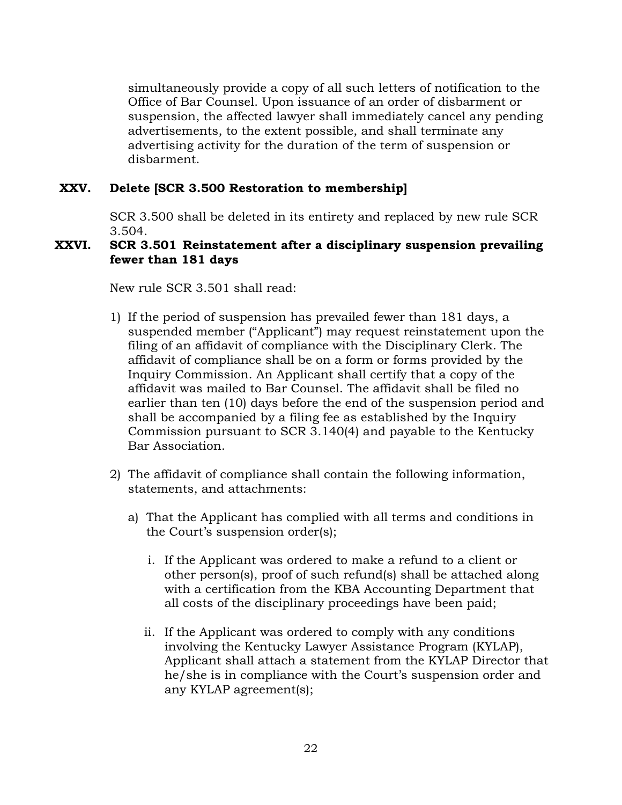simultaneously provide a copy of all such letters of notification to the Office of Bar Counsel. Upon issuance of an order of disbarment or suspension, the affected lawyer shall immediately cancel any pending advertisements, to the extent possible, and shall terminate any advertising activity for the duration of the term of suspension or disbarment.

# **XXV. Delete [SCR 3.500 Restoration to membership]**

SCR 3.500 shall be deleted in its entirety and replaced by new rule SCR 3.504.

### **XXVI. SCR 3.501 Reinstatement after a disciplinary suspension prevailing fewer than 181 days**

New rule SCR 3.501 shall read:

- 1) If the period of suspension has prevailed fewer than 181 days, a suspended member ("Applicant") may request reinstatement upon the filing of an affidavit of compliance with the Disciplinary Clerk. The affidavit of compliance shall be on a form or forms provided by the Inquiry Commission. An Applicant shall certify that a copy of the affidavit was mailed to Bar Counsel. The affidavit shall be filed no earlier than ten (10) days before the end of the suspension period and shall be accompanied by a filing fee as established by the Inquiry Commission pursuant to SCR 3.140(4) and payable to the Kentucky Bar Association.
- 2) The affidavit of compliance shall contain the following information, statements, and attachments:
	- a) That the Applicant has complied with all terms and conditions in the Court's suspension order(s);
		- i. If the Applicant was ordered to make a refund to a client or other person(s), proof of such refund(s) shall be attached along with a certification from the KBA Accounting Department that all costs of the disciplinary proceedings have been paid;
		- ii. If the Applicant was ordered to comply with any conditions involving the Kentucky Lawyer Assistance Program (KYLAP), Applicant shall attach a statement from the KYLAP Director that he/she is in compliance with the Court's suspension order and any KYLAP agreement(s);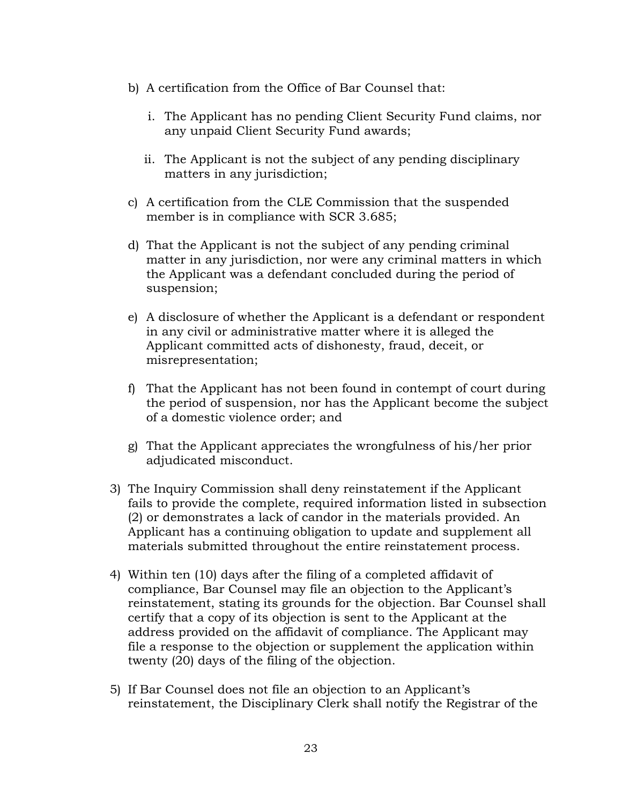- b) A certification from the Office of Bar Counsel that:
	- i. The Applicant has no pending Client Security Fund claims, nor any unpaid Client Security Fund awards;
	- ii. The Applicant is not the subject of any pending disciplinary matters in any jurisdiction;
- c) A certification from the CLE Commission that the suspended member is in compliance with SCR 3.685;
- d) That the Applicant is not the subject of any pending criminal matter in any jurisdiction, nor were any criminal matters in which the Applicant was a defendant concluded during the period of suspension;
- e) A disclosure of whether the Applicant is a defendant or respondent in any civil or administrative matter where it is alleged the Applicant committed acts of dishonesty, fraud, deceit, or misrepresentation;
- f) That the Applicant has not been found in contempt of court during the period of suspension, nor has the Applicant become the subject of a domestic violence order; and
- g) That the Applicant appreciates the wrongfulness of his/her prior adjudicated misconduct.
- 3) The Inquiry Commission shall deny reinstatement if the Applicant fails to provide the complete, required information listed in subsection (2) or demonstrates a lack of candor in the materials provided. An Applicant has a continuing obligation to update and supplement all materials submitted throughout the entire reinstatement process.
- 4) Within ten (10) days after the filing of a completed affidavit of compliance, Bar Counsel may file an objection to the Applicant's reinstatement, stating its grounds for the objection. Bar Counsel shall certify that a copy of its objection is sent to the Applicant at the address provided on the affidavit of compliance. The Applicant may file a response to the objection or supplement the application within twenty (20) days of the filing of the objection.
- 5) If Bar Counsel does not file an objection to an Applicant's reinstatement, the Disciplinary Clerk shall notify the Registrar of the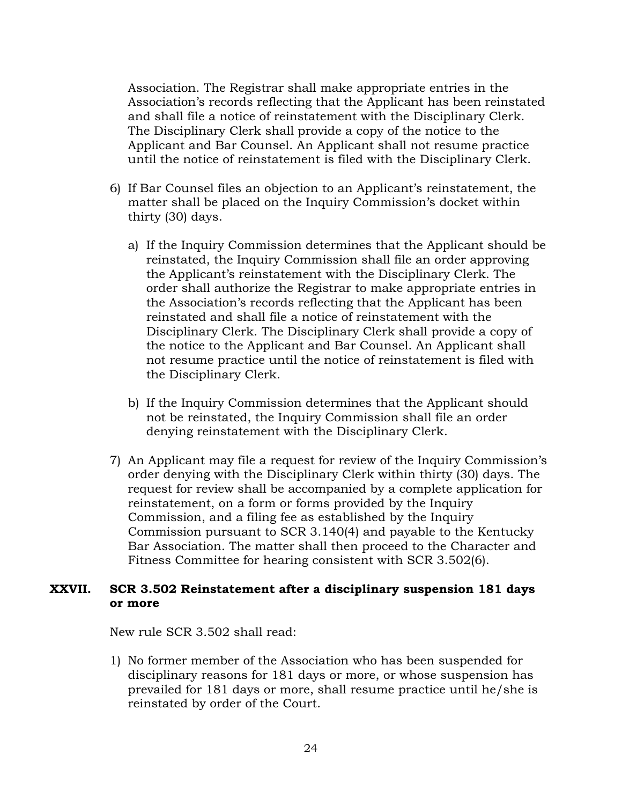Association. The Registrar shall make appropriate entries in the Association's records reflecting that the Applicant has been reinstated and shall file a notice of reinstatement with the Disciplinary Clerk. The Disciplinary Clerk shall provide a copy of the notice to the Applicant and Bar Counsel. An Applicant shall not resume practice until the notice of reinstatement is filed with the Disciplinary Clerk.

- 6) If Bar Counsel files an objection to an Applicant's reinstatement, the matter shall be placed on the Inquiry Commission's docket within thirty (30) days.
	- a) If the Inquiry Commission determines that the Applicant should be reinstated, the Inquiry Commission shall file an order approving the Applicant's reinstatement with the Disciplinary Clerk. The order shall authorize the Registrar to make appropriate entries in the Association's records reflecting that the Applicant has been reinstated and shall file a notice of reinstatement with the Disciplinary Clerk. The Disciplinary Clerk shall provide a copy of the notice to the Applicant and Bar Counsel. An Applicant shall not resume practice until the notice of reinstatement is filed with the Disciplinary Clerk.
	- b) If the Inquiry Commission determines that the Applicant should not be reinstated, the Inquiry Commission shall file an order denying reinstatement with the Disciplinary Clerk.
- 7) An Applicant may file a request for review of the Inquiry Commission's order denying with the Disciplinary Clerk within thirty (30) days. The request for review shall be accompanied by a complete application for reinstatement, on a form or forms provided by the Inquiry Commission, and a filing fee as established by the Inquiry Commission pursuant to SCR 3.140(4) and payable to the Kentucky Bar Association. The matter shall then proceed to the Character and Fitness Committee for hearing consistent with SCR 3.502(6).

# **XXVII. SCR 3.502 Reinstatement after a disciplinary suspension 181 days or more**

New rule SCR 3.502 shall read:

1) No former member of the Association who has been suspended for disciplinary reasons for 181 days or more, or whose suspension has prevailed for 181 days or more, shall resume practice until he/she is reinstated by order of the Court.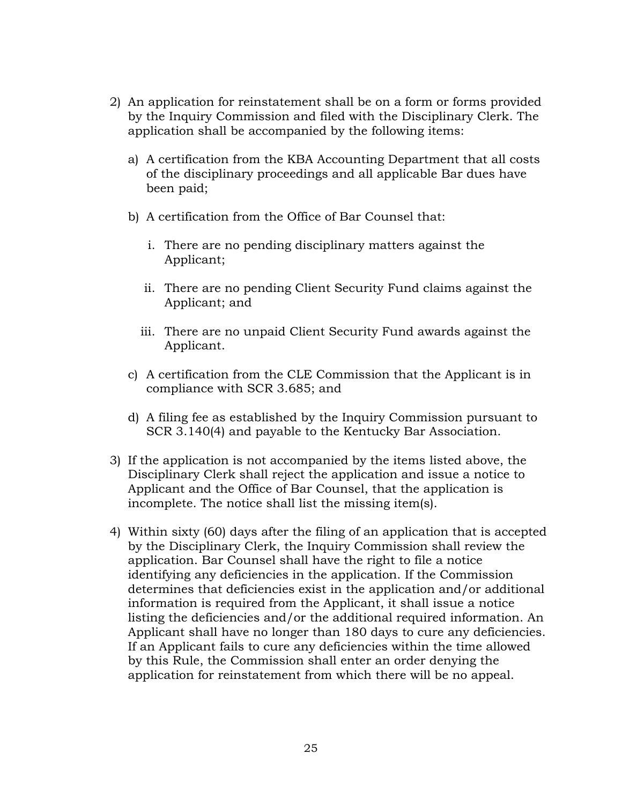- 2) An application for reinstatement shall be on a form or forms provided by the Inquiry Commission and filed with the Disciplinary Clerk. The application shall be accompanied by the following items:
	- a) A certification from the KBA Accounting Department that all costs of the disciplinary proceedings and all applicable Bar dues have been paid;
	- b) A certification from the Office of Bar Counsel that:
		- i. There are no pending disciplinary matters against the Applicant;
		- ii. There are no pending Client Security Fund claims against the Applicant; and
		- iii. There are no unpaid Client Security Fund awards against the Applicant.
	- c) A certification from the CLE Commission that the Applicant is in compliance with SCR 3.685; and
	- d) A filing fee as established by the Inquiry Commission pursuant to SCR 3.140(4) and payable to the Kentucky Bar Association.
- 3) If the application is not accompanied by the items listed above, the Disciplinary Clerk shall reject the application and issue a notice to Applicant and the Office of Bar Counsel, that the application is incomplete. The notice shall list the missing item(s).
- 4) Within sixty (60) days after the filing of an application that is accepted by the Disciplinary Clerk, the Inquiry Commission shall review the application. Bar Counsel shall have the right to file a notice identifying any deficiencies in the application. If the Commission determines that deficiencies exist in the application and/or additional information is required from the Applicant, it shall issue a notice listing the deficiencies and/or the additional required information. An Applicant shall have no longer than 180 days to cure any deficiencies. If an Applicant fails to cure any deficiencies within the time allowed by this Rule, the Commission shall enter an order denying the application for reinstatement from which there will be no appeal.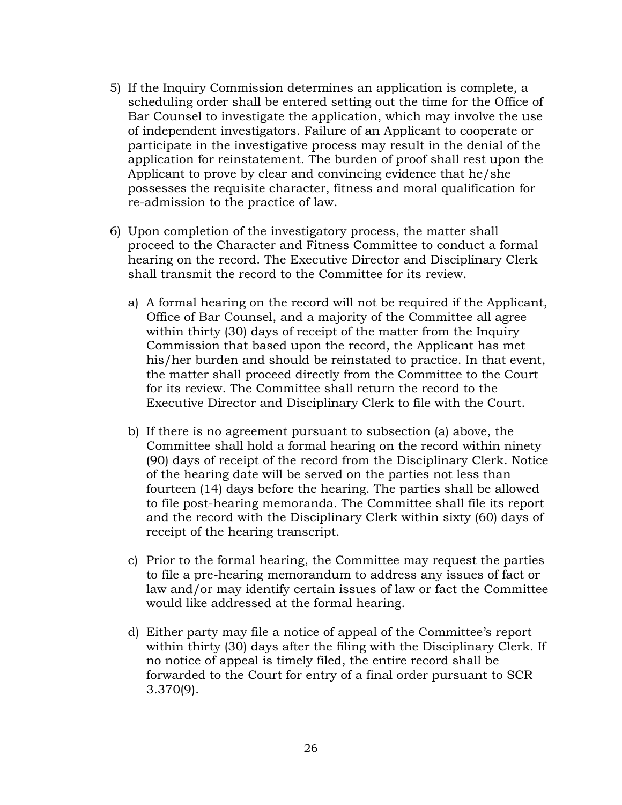- 5) If the Inquiry Commission determines an application is complete, a scheduling order shall be entered setting out the time for the Office of Bar Counsel to investigate the application, which may involve the use of independent investigators. Failure of an Applicant to cooperate or participate in the investigative process may result in the denial of the application for reinstatement. The burden of proof shall rest upon the Applicant to prove by clear and convincing evidence that he/she possesses the requisite character, fitness and moral qualification for re-admission to the practice of law.
- 6) Upon completion of the investigatory process, the matter shall proceed to the Character and Fitness Committee to conduct a formal hearing on the record. The Executive Director and Disciplinary Clerk shall transmit the record to the Committee for its review.
	- a) A formal hearing on the record will not be required if the Applicant, Office of Bar Counsel, and a majority of the Committee all agree within thirty (30) days of receipt of the matter from the Inquiry Commission that based upon the record, the Applicant has met his/her burden and should be reinstated to practice. In that event, the matter shall proceed directly from the Committee to the Court for its review. The Committee shall return the record to the Executive Director and Disciplinary Clerk to file with the Court.
	- b) If there is no agreement pursuant to subsection (a) above, the Committee shall hold a formal hearing on the record within ninety (90) days of receipt of the record from the Disciplinary Clerk. Notice of the hearing date will be served on the parties not less than fourteen (14) days before the hearing. The parties shall be allowed to file post-hearing memoranda. The Committee shall file its report and the record with the Disciplinary Clerk within sixty (60) days of receipt of the hearing transcript.
	- c) Prior to the formal hearing, the Committee may request the parties to file a pre-hearing memorandum to address any issues of fact or law and/or may identify certain issues of law or fact the Committee would like addressed at the formal hearing.
	- d) Either party may file a notice of appeal of the Committee's report within thirty (30) days after the filing with the Disciplinary Clerk. If no notice of appeal is timely filed, the entire record shall be forwarded to the Court for entry of a final order pursuant to SCR 3.370(9).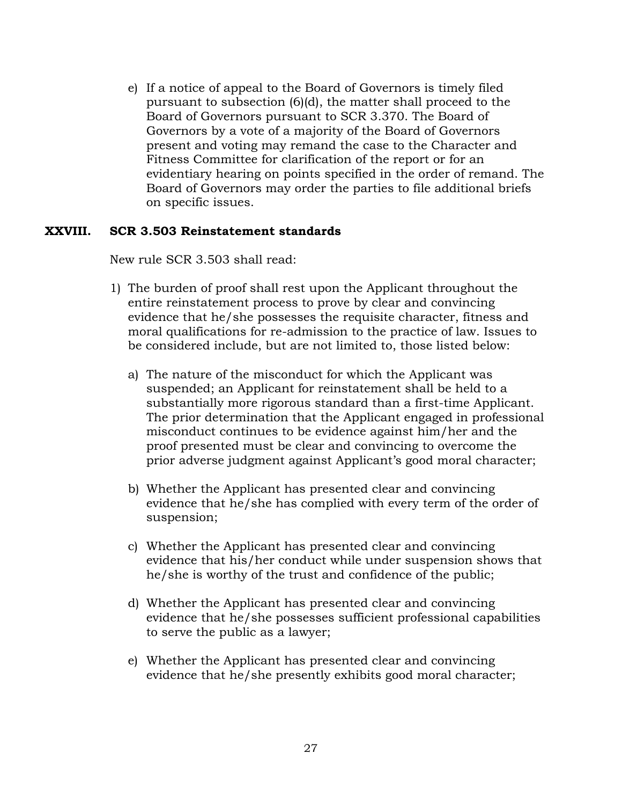e) If a notice of appeal to the Board of Governors is timely filed pursuant to subsection (6)(d), the matter shall proceed to the Board of Governors pursuant to SCR 3.370. The Board of Governors by a vote of a majority of the Board of Governors present and voting may remand the case to the Character and Fitness Committee for clarification of the report or for an evidentiary hearing on points specified in the order of remand. The Board of Governors may order the parties to file additional briefs on specific issues.

#### **XXVIII. SCR 3.503 Reinstatement standards**

New rule SCR 3.503 shall read:

- 1) The burden of proof shall rest upon the Applicant throughout the entire reinstatement process to prove by clear and convincing evidence that he/she possesses the requisite character, fitness and moral qualifications for re-admission to the practice of law. Issues to be considered include, but are not limited to, those listed below:
	- a) The nature of the misconduct for which the Applicant was suspended; an Applicant for reinstatement shall be held to a substantially more rigorous standard than a first-time Applicant. The prior determination that the Applicant engaged in professional misconduct continues to be evidence against him/her and the proof presented must be clear and convincing to overcome the prior adverse judgment against Applicant's good moral character;
	- b) Whether the Applicant has presented clear and convincing evidence that he/she has complied with every term of the order of suspension;
	- c) Whether the Applicant has presented clear and convincing evidence that his/her conduct while under suspension shows that he/she is worthy of the trust and confidence of the public;
	- d) Whether the Applicant has presented clear and convincing evidence that he/she possesses sufficient professional capabilities to serve the public as a lawyer;
	- e) Whether the Applicant has presented clear and convincing evidence that he/she presently exhibits good moral character;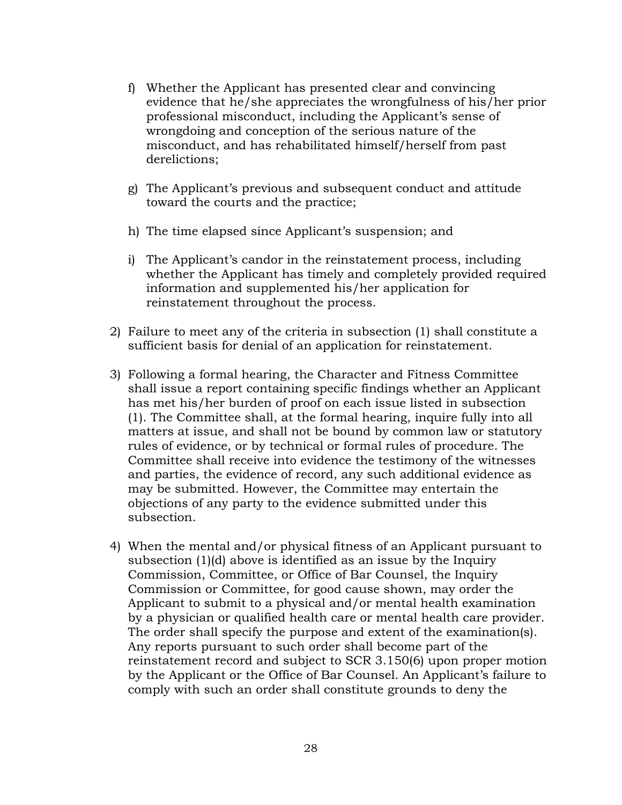- f) Whether the Applicant has presented clear and convincing evidence that he/she appreciates the wrongfulness of his/her prior professional misconduct, including the Applicant's sense of wrongdoing and conception of the serious nature of the misconduct, and has rehabilitated himself/herself from past derelictions;
- g) The Applicant's previous and subsequent conduct and attitude toward the courts and the practice;
- h) The time elapsed since Applicant's suspension; and
- i) The Applicant's candor in the reinstatement process, including whether the Applicant has timely and completely provided required information and supplemented his/her application for reinstatement throughout the process.
- 2) Failure to meet any of the criteria in subsection (1) shall constitute a sufficient basis for denial of an application for reinstatement.
- 3) Following a formal hearing, the Character and Fitness Committee shall issue a report containing specific findings whether an Applicant has met his/her burden of proof on each issue listed in subsection (1). The Committee shall, at the formal hearing, inquire fully into all matters at issue, and shall not be bound by common law or statutory rules of evidence, or by technical or formal rules of procedure. The Committee shall receive into evidence the testimony of the witnesses and parties, the evidence of record, any such additional evidence as may be submitted. However, the Committee may entertain the objections of any party to the evidence submitted under this subsection.
- 4) When the mental and/or physical fitness of an Applicant pursuant to subsection (1)(d) above is identified as an issue by the Inquiry Commission, Committee, or Office of Bar Counsel, the Inquiry Commission or Committee, for good cause shown, may order the Applicant to submit to a physical and/or mental health examination by a physician or qualified health care or mental health care provider. The order shall specify the purpose and extent of the examination(s). Any reports pursuant to such order shall become part of the reinstatement record and subject to SCR 3.150(6) upon proper motion by the Applicant or the Office of Bar Counsel. An Applicant's failure to comply with such an order shall constitute grounds to deny the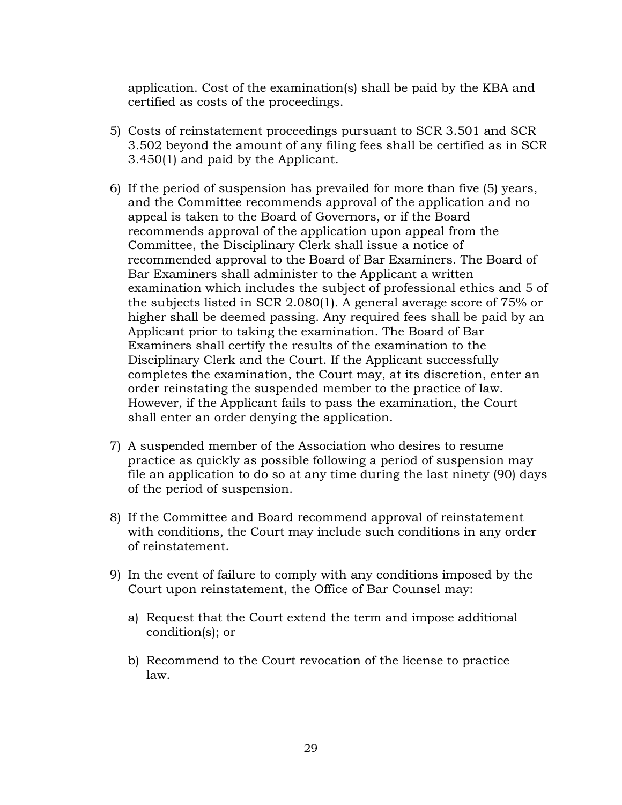application. Cost of the examination(s) shall be paid by the KBA and certified as costs of the proceedings.

- 5) Costs of reinstatement proceedings pursuant to SCR 3.501 and SCR 3.502 beyond the amount of any filing fees shall be certified as in SCR 3.450(1) and paid by the Applicant.
- 6) If the period of suspension has prevailed for more than five (5) years, and the Committee recommends approval of the application and no appeal is taken to the Board of Governors, or if the Board recommends approval of the application upon appeal from the Committee, the Disciplinary Clerk shall issue a notice of recommended approval to the Board of Bar Examiners. The Board of Bar Examiners shall administer to the Applicant a written examination which includes the subject of professional ethics and 5 of the subjects listed in SCR 2.080(1). A general average score of 75% or higher shall be deemed passing. Any required fees shall be paid by an Applicant prior to taking the examination. The Board of Bar Examiners shall certify the results of the examination to the Disciplinary Clerk and the Court. If the Applicant successfully completes the examination, the Court may, at its discretion, enter an order reinstating the suspended member to the practice of law. However, if the Applicant fails to pass the examination, the Court shall enter an order denying the application.
- 7) A suspended member of the Association who desires to resume practice as quickly as possible following a period of suspension may file an application to do so at any time during the last ninety (90) days of the period of suspension.
- 8) If the Committee and Board recommend approval of reinstatement with conditions, the Court may include such conditions in any order of reinstatement.
- 9) In the event of failure to comply with any conditions imposed by the Court upon reinstatement, the Office of Bar Counsel may:
	- a) Request that the Court extend the term and impose additional condition(s); or
	- b) Recommend to the Court revocation of the license to practice law.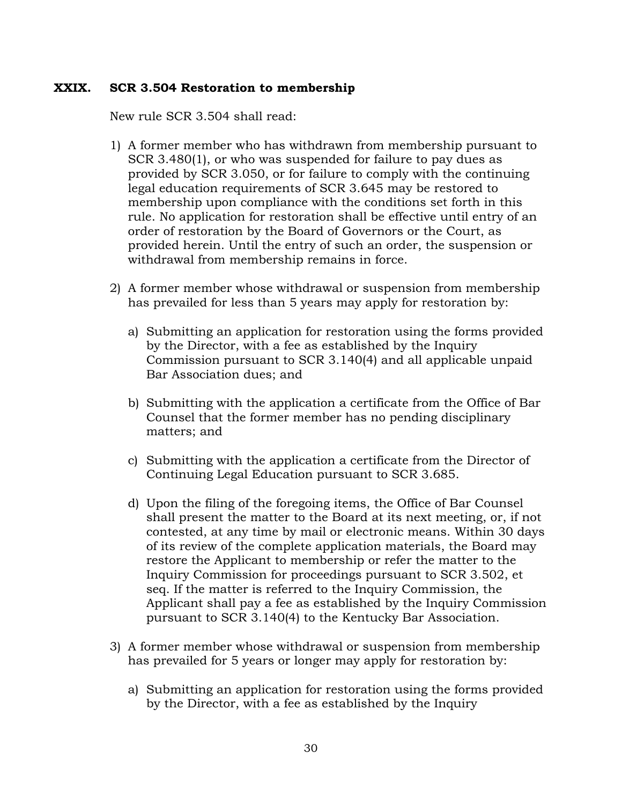#### **XXIX. SCR 3.504 Restoration to membership**

New rule SCR 3.504 shall read:

- 1) A former member who has withdrawn from membership pursuant to SCR 3.480(1), or who was suspended for failure to pay dues as provided by SCR 3.050, or for failure to comply with the continuing legal education requirements of SCR 3.645 may be restored to membership upon compliance with the conditions set forth in this rule. No application for restoration shall be effective until entry of an order of restoration by the Board of Governors or the Court, as provided herein. Until the entry of such an order, the suspension or withdrawal from membership remains in force.
- 2) A former member whose withdrawal or suspension from membership has prevailed for less than 5 years may apply for restoration by:
	- a) Submitting an application for restoration using the forms provided by the Director, with a fee as established by the Inquiry Commission pursuant to SCR 3.140(4) and all applicable unpaid Bar Association dues; and
	- b) Submitting with the application a certificate from the Office of Bar Counsel that the former member has no pending disciplinary matters; and
	- c) Submitting with the application a certificate from the Director of Continuing Legal Education pursuant to SCR 3.685.
	- d) Upon the filing of the foregoing items, the Office of Bar Counsel shall present the matter to the Board at its next meeting, or, if not contested, at any time by mail or electronic means. Within 30 days of its review of the complete application materials, the Board may restore the Applicant to membership or refer the matter to the Inquiry Commission for proceedings pursuant to SCR 3.502, et seq. If the matter is referred to the Inquiry Commission, the Applicant shall pay a fee as established by the Inquiry Commission pursuant to SCR 3.140(4) to the Kentucky Bar Association.
- 3) A former member whose withdrawal or suspension from membership has prevailed for 5 years or longer may apply for restoration by:
	- a) Submitting an application for restoration using the forms provided by the Director, with a fee as established by the Inquiry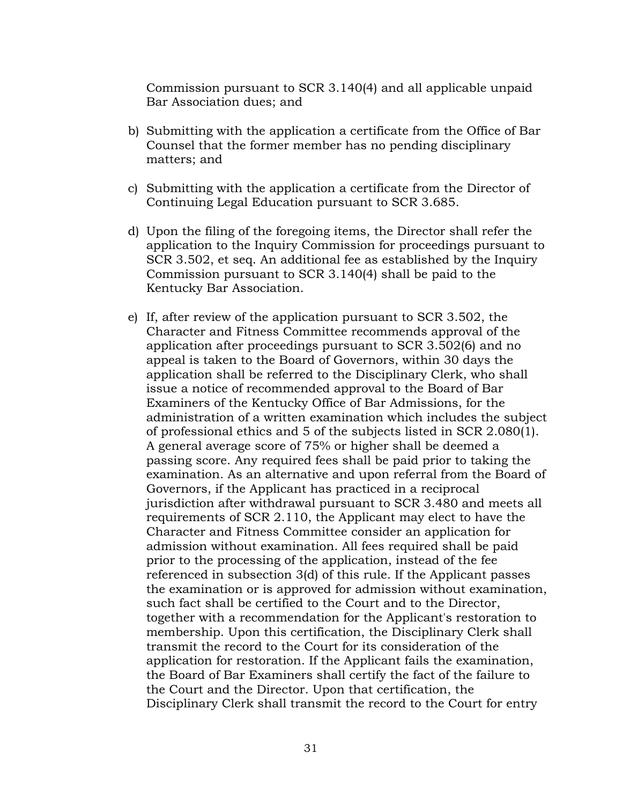Commission pursuant to SCR 3.140(4) and all applicable unpaid Bar Association dues; and

- b) Submitting with the application a certificate from the Office of Bar Counsel that the former member has no pending disciplinary matters; and
- c) Submitting with the application a certificate from the Director of Continuing Legal Education pursuant to SCR 3.685.
- d) Upon the filing of the foregoing items, the Director shall refer the application to the Inquiry Commission for proceedings pursuant to SCR 3.502, et seq. An additional fee as established by the Inquiry Commission pursuant to SCR 3.140(4) shall be paid to the Kentucky Bar Association.
- e) If, after review of the application pursuant to SCR 3.502, the Character and Fitness Committee recommends approval of the application after proceedings pursuant to SCR 3.502(6) and no appeal is taken to the Board of Governors, within 30 days the application shall be referred to the Disciplinary Clerk, who shall issue a notice of recommended approval to the Board of Bar Examiners of the Kentucky Office of Bar Admissions, for the administration of a written examination which includes the subject of professional ethics and 5 of the subjects listed in SCR 2.080(1). A general average score of 75% or higher shall be deemed a passing score. Any required fees shall be paid prior to taking the examination. As an alternative and upon referral from the Board of Governors, if the Applicant has practiced in a reciprocal jurisdiction after withdrawal pursuant to SCR 3.480 and meets all requirements of SCR 2.110, the Applicant may elect to have the Character and Fitness Committee consider an application for admission without examination. All fees required shall be paid prior to the processing of the application, instead of the fee referenced in subsection 3(d) of this rule. If the Applicant passes the examination or is approved for admission without examination, such fact shall be certified to the Court and to the Director, together with a recommendation for the Applicant's restoration to membership. Upon this certification, the Disciplinary Clerk shall transmit the record to the Court for its consideration of the application for restoration. If the Applicant fails the examination, the Board of Bar Examiners shall certify the fact of the failure to the Court and the Director. Upon that certification, the Disciplinary Clerk shall transmit the record to the Court for entry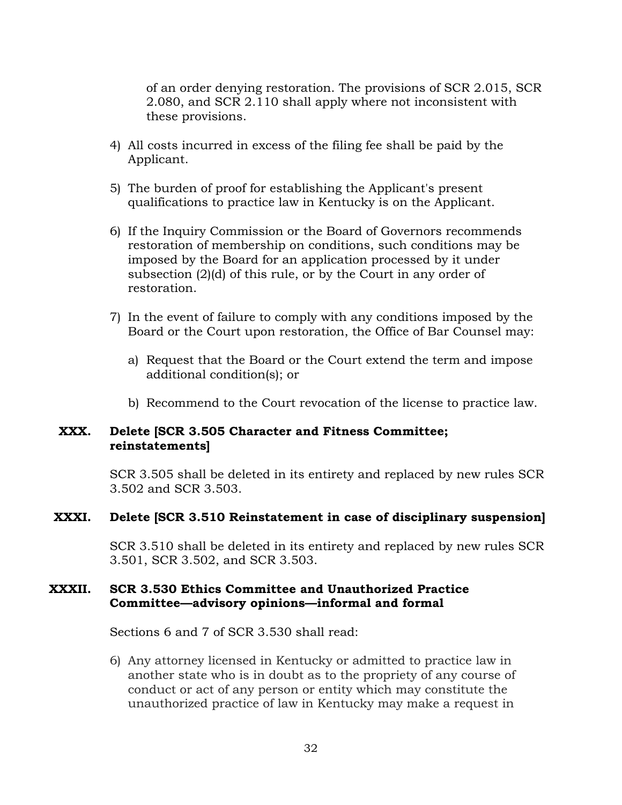of an order denying restoration. The provisions of SCR 2.015, SCR 2.080, and SCR 2.110 shall apply where not inconsistent with these provisions.

- 4) All costs incurred in excess of the filing fee shall be paid by the Applicant.
- 5) The burden of proof for establishing the Applicant's present qualifications to practice law in Kentucky is on the Applicant.
- 6) If the Inquiry Commission or the Board of Governors recommends restoration of membership on conditions, such conditions may be imposed by the Board for an application processed by it under subsection (2)(d) of this rule, or by the Court in any order of restoration.
- 7) In the event of failure to comply with any conditions imposed by the Board or the Court upon restoration, the Office of Bar Counsel may:
	- a) Request that the Board or the Court extend the term and impose additional condition(s); or
	- b) Recommend to the Court revocation of the license to practice law.

### **XXX. Delete [SCR 3.505 Character and Fitness Committee; reinstatements]**

SCR 3.505 shall be deleted in its entirety and replaced by new rules SCR 3.502 and SCR 3.503.

### **XXXI. Delete [SCR 3.510 Reinstatement in case of disciplinary suspension]**

SCR 3.510 shall be deleted in its entirety and replaced by new rules SCR 3.501, SCR 3.502, and SCR 3.503.

#### **XXXII. SCR 3.530 Ethics Committee and Unauthorized Practice Committee—advisory opinions—informal and formal**

Sections 6 and 7 of SCR 3.530 shall read:

6) Any attorney licensed in Kentucky or admitted to practice law in another state who is in doubt as to the propriety of any course of conduct or act of any person or entity which may constitute the unauthorized practice of law in Kentucky may make a request in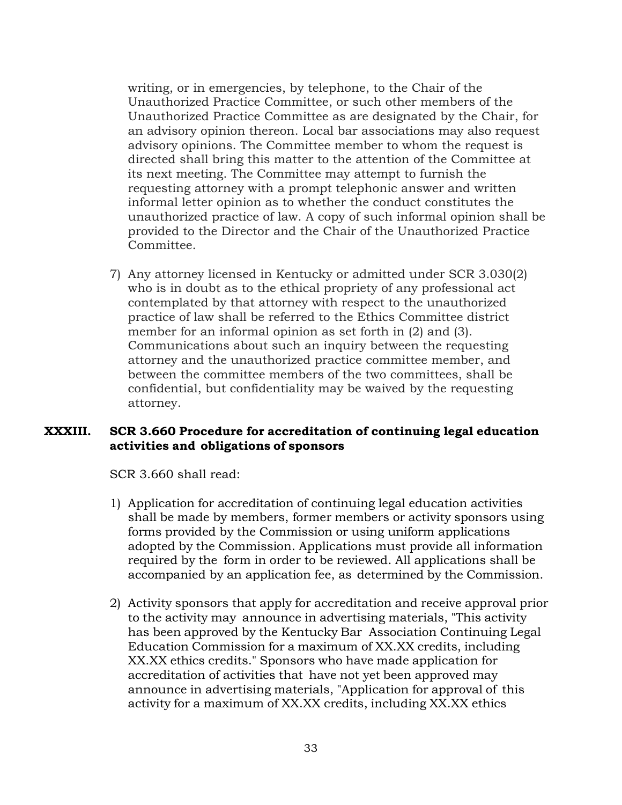writing, or in emergencies, by telephone, to the Chair of the Unauthorized Practice Committee, or such other members of the Unauthorized Practice Committee as are designated by the Chair, for an advisory opinion thereon. Local bar associations may also request advisory opinions. The Committee member to whom the request is directed shall bring this matter to the attention of the Committee at its next meeting. The Committee may attempt to furnish the requesting attorney with a prompt telephonic answer and written informal letter opinion as to whether the conduct constitutes the unauthorized practice of law. A copy of such informal opinion shall be provided to the Director and the Chair of the Unauthorized Practice Committee.

7) Any attorney licensed in Kentucky or admitted under SCR 3.030(2) who is in doubt as to the ethical propriety of any professional act contemplated by that attorney with respect to the unauthorized practice of law shall be referred to the Ethics Committee district member for an informal opinion as set forth in (2) and (3). Communications about such an inquiry between the requesting attorney and the unauthorized practice committee member, and between the committee members of the two committees, shall be confidential, but confidentiality may be waived by the requesting attorney.

#### **XXXIII. SCR 3.660 Procedure for accreditation of continuing legal education activities and obligations of sponsors**

SCR 3.660 shall read:

- 1) Application for accreditation of continuing legal education activities shall be made by members, former members or activity sponsors using forms provided by the Commission or using uniform applications adopted by the Commission. Applications must provide all information required by the form in order to be reviewed. All applications shall be accompanied by an application fee, as determined by the Commission.
- 2) Activity sponsors that apply for accreditation and receive approval prior to the activity may announce in advertising materials, "This activity has been approved by the Kentucky Bar Association Continuing Legal Education Commission for a maximum of XX.XX credits, including XX.XX ethics credits." Sponsors who have made application for accreditation of activities that have not yet been approved may announce in advertising materials, "Application for approval of this activity for a maximum of XX.XX credits, including XX.XX ethics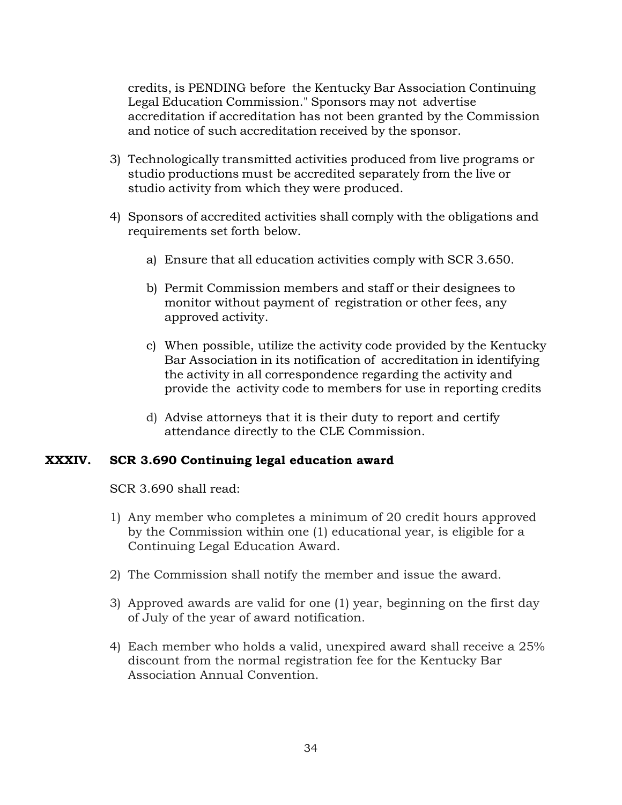credits, is PENDING before the Kentucky Bar Association Continuing Legal Education Commission." Sponsors may not advertise accreditation if accreditation has not been granted by the Commission and notice of such accreditation received by the sponsor.

- 3) Technologically transmitted activities produced from live programs or studio productions must be accredited separately from the live or studio activity from which they were produced.
- 4) Sponsors of accredited activities shall comply with the obligations and requirements set forth below.
	- a) Ensure that all education activities comply with SCR 3.650.
	- b) Permit Commission members and staff or their designees to monitor without payment of registration or other fees, any approved activity.
	- c) When possible, utilize the activity code provided by the Kentucky Bar Association in its notification of accreditation in identifying the activity in all correspondence regarding the activity and provide the activity code to members for use in reporting credits
	- d) Advise attorneys that it is their duty to report and certify attendance directly to the CLE Commission.

### **XXXIV. SCR 3.690 Continuing legal education award**

SCR 3.690 shall read:

- 1) Any member who completes a minimum of 20 credit hours approved by the Commission within one (1) educational year, is eligible for a Continuing Legal Education Award.
- 2) The Commission shall notify the member and issue the award.
- 3) Approved awards are valid for one (1) year, beginning on the first day of July of the year of award notification.
- 4) Each member who holds a valid, unexpired award shall receive a 25% discount from the normal registration fee for the Kentucky Bar Association Annual Convention.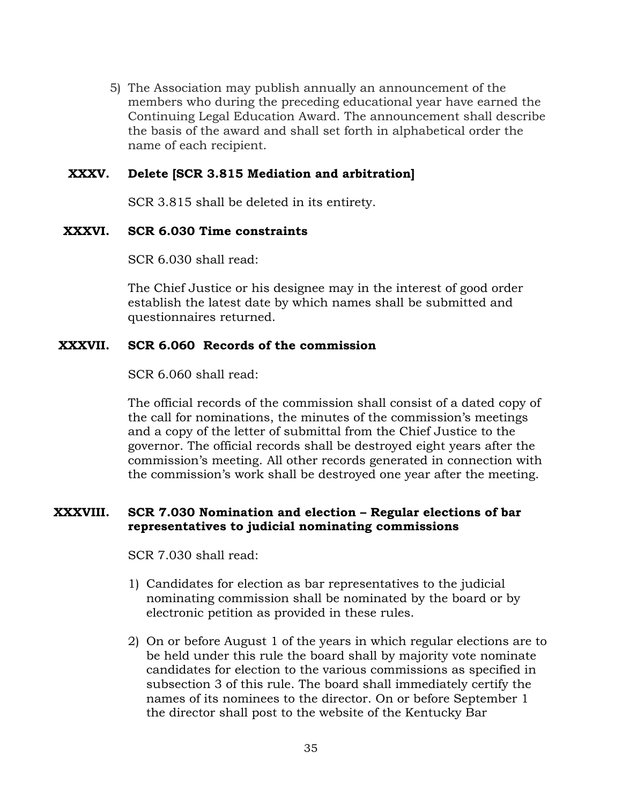5) The Association may publish annually an announcement of the members who during the preceding educational year have earned the Continuing Legal Education Award. The announcement shall describe the basis of the award and shall set forth in alphabetical order the name of each recipient.

### **XXXV. Delete [SCR 3.815 Mediation and arbitration]**

SCR 3.815 shall be deleted in its entirety.

### **XXXVI. SCR 6.030 Time constraints**

SCR 6.030 shall read:

The Chief Justice or his designee may in the interest of good order establish the latest date by which names shall be submitted and questionnaires returned.

### **XXXVII. SCR 6.060 Records of the commission**

SCR 6.060 shall read:

The official records of the commission shall consist of a dated copy of the call for nominations, the minutes of the commission's meetings and a copy of the letter of submittal from the Chief Justice to the governor. The official records shall be destroyed eight years after the commission's meeting. All other records generated in connection with the commission's work shall be destroyed one year after the meeting.

### **XXXVIII. SCR 7.030 Nomination and election – Regular elections of bar representatives to judicial nominating commissions**

SCR 7.030 shall read:

- 1) Candidates for election as bar representatives to the judicial nominating commission shall be nominated by the board or by electronic petition as provided in these rules.
- 2) On or before August 1 of the years in which regular elections are to be held under this rule the board shall by majority vote nominate candidates for election to the various commissions as specified in subsection 3 of this rule. The board shall immediately certify the names of its nominees to the director. On or before September 1 the director shall post to the website of the Kentucky Bar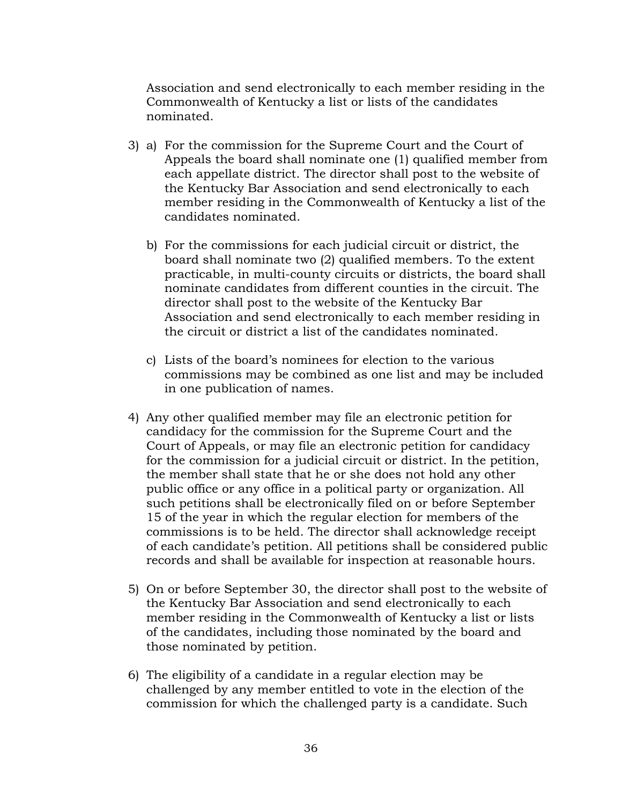Association and send electronically to each member residing in the Commonwealth of Kentucky a list or lists of the candidates nominated.

- 3) a) For the commission for the Supreme Court and the Court of Appeals the board shall nominate one (1) qualified member from each appellate district. The director shall post to the website of the Kentucky Bar Association and send electronically to each member residing in the Commonwealth of Kentucky a list of the candidates nominated.
	- b) For the commissions for each judicial circuit or district, the board shall nominate two (2) qualified members. To the extent practicable, in multi-county circuits or districts, the board shall nominate candidates from different counties in the circuit. The director shall post to the website of the Kentucky Bar Association and send electronically to each member residing in the circuit or district a list of the candidates nominated.
	- c) Lists of the board's nominees for election to the various commissions may be combined as one list and may be included in one publication of names.
- 4) Any other qualified member may file an electronic petition for candidacy for the commission for the Supreme Court and the Court of Appeals, or may file an electronic petition for candidacy for the commission for a judicial circuit or district. In the petition, the member shall state that he or she does not hold any other public office or any office in a political party or organization. All such petitions shall be electronically filed on or before September 15 of the year in which the regular election for members of the commissions is to be held. The director shall acknowledge receipt of each candidate's petition. All petitions shall be considered public records and shall be available for inspection at reasonable hours.
- 5) On or before September 30, the director shall post to the website of the Kentucky Bar Association and send electronically to each member residing in the Commonwealth of Kentucky a list or lists of the candidates, including those nominated by the board and those nominated by petition.
- 6) The eligibility of a candidate in a regular election may be challenged by any member entitled to vote in the election of the commission for which the challenged party is a candidate. Such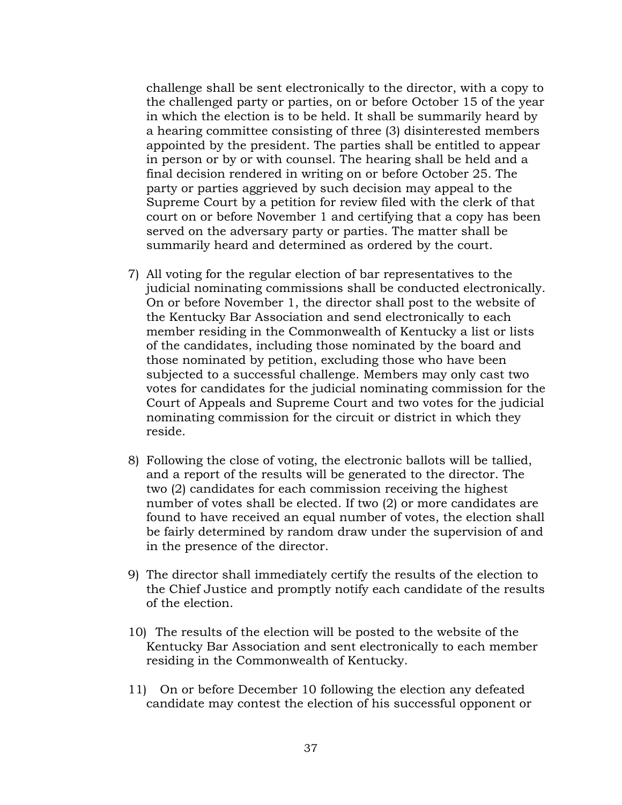challenge shall be sent electronically to the director, with a copy to the challenged party or parties, on or before October 15 of the year in which the election is to be held. It shall be summarily heard by a hearing committee consisting of three (3) disinterested members appointed by the president. The parties shall be entitled to appear in person or by or with counsel. The hearing shall be held and a final decision rendered in writing on or before October 25. The party or parties aggrieved by such decision may appeal to the Supreme Court by a petition for review filed with the clerk of that court on or before November 1 and certifying that a copy has been served on the adversary party or parties. The matter shall be summarily heard and determined as ordered by the court.

- 7) All voting for the regular election of bar representatives to the judicial nominating commissions shall be conducted electronically. On or before November 1, the director shall post to the website of the Kentucky Bar Association and send electronically to each member residing in the Commonwealth of Kentucky a list or lists of the candidates, including those nominated by the board and those nominated by petition, excluding those who have been subjected to a successful challenge. Members may only cast two votes for candidates for the judicial nominating commission for the Court of Appeals and Supreme Court and two votes for the judicial nominating commission for the circuit or district in which they reside.
- 8) Following the close of voting, the electronic ballots will be tallied, and a report of the results will be generated to the director. The two (2) candidates for each commission receiving the highest number of votes shall be elected. If two (2) or more candidates are found to have received an equal number of votes, the election shall be fairly determined by random draw under the supervision of and in the presence of the director.
- 9) The director shall immediately certify the results of the election to the Chief Justice and promptly notify each candidate of the results of the election.
- 10) The results of the election will be posted to the website of the Kentucky Bar Association and sent electronically to each member residing in the Commonwealth of Kentucky.
- 11) On or before December 10 following the election any defeated candidate may contest the election of his successful opponent or